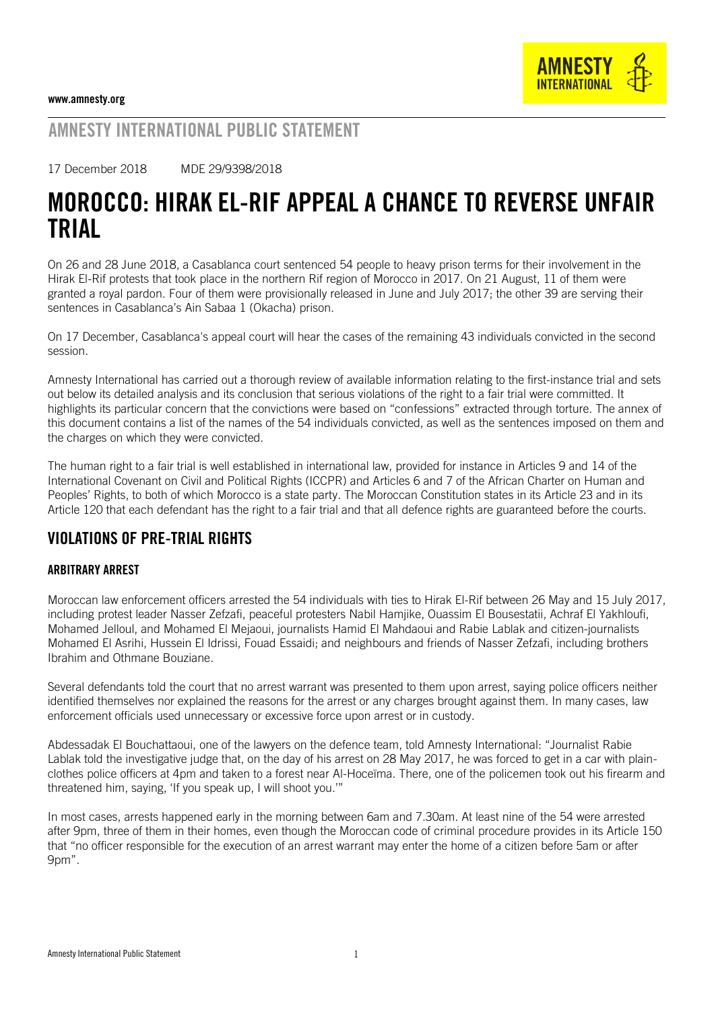

### AMNESTY INTERNATIONAL PUBLIC STATEMENT

17 December 2018 MDE 29/9398/2018

# MOROCCO: HIRAK EL-RIF APPEAL A CHANCE TO REVERSE UNFAIR TRIAL

On 26 and 28 June 2018, a Casablanca court sentenced 54 people to heavy prison terms for their involvement in the Hirak El-Rif protests that took place in the northern Rif region of Morocco in 2017. On 21 August, 11 of them were granted a royal pardon. Four of them were provisionally released in June and July 2017; the other 39 are serving their sentences in Casablanca's Ain Sabaa 1 (Okacha) prison.

On 17 December, Casablanca's appeal court will hear the cases of the remaining 43 individuals convicted in the second session.

Amnesty International has carried out a thorough review of available information relating to the first-instance trial and sets out below its detailed analysis and its conclusion that serious violations of the right to a fair trial were committed. It highlights its particular concern that the convictions were based on "confessions" extracted through torture. The annex of this document contains a list of the names of the 54 individuals convicted, as well as the sentences imposed on them and the charges on which they were convicted.

The human right to a fair trial is well established in international law, provided for instance in Articles 9 and 14 of the International Covenant on Civil and Political Rights (ICCPR) and Articles 6 and 7 of the African Charter on Human and Peoples' Rights, to both of which Morocco is a state party. The Moroccan Constitution states in its Article 23 and in its Article 120 that each defendant has the right to a fair trial and that all defence rights are guaranteed before the courts.

### VIOLATIONS OF PRE-TRIAL RIGHTS

#### ARBITRARY ARREST

Moroccan law enforcement officers arrested the 54 individuals with ties to Hirak El-Rif between 26 May and 15 July 2017, including protest leader Nasser Zefzafi, peaceful protesters Nabil Hamjike, Ouassim El Bousestatii, Achraf El Yakhloufi, Mohamed Jelloul, and Mohamed El Mejaoui, journalists Hamid El Mahdaoui and Rabie Lablak and citizen-journalists Mohamed El Asrihi, Hussein El Idrissi, Fouad Essaidi; and neighbours and friends of Nasser Zefzafi, including brothers Ibrahim and Othmane Bouziane.

Several defendants told the court that no arrest warrant was presented to them upon arrest, saying police officers neither identified themselves nor explained the reasons for the arrest or any charges brought against them. In many cases, law enforcement officials used unnecessary or excessive force upon arrest or in custody.

Abdessadak El Bouchattaoui, one of the lawyers on the defence team, told Amnesty International: "Journalist Rabie Lablak told the investigative judge that, on the day of his arrest on 28 May 2017, he was forced to get in a car with plainclothes police officers at 4pm and taken to a forest near Al-Hoceïma. There, one of the policemen took out his firearm and threatened him, saying, 'If you speak up, I will shoot you.'"

In most cases, arrests happened early in the morning between 6am and 7.30am. At least nine of the 54 were arrested after 9pm, three of them in their homes, even though the Moroccan code of criminal procedure provides in its Article 150 that "no officer responsible for the execution of an arrest warrant may enter the home of a citizen before 5am or after 9pm".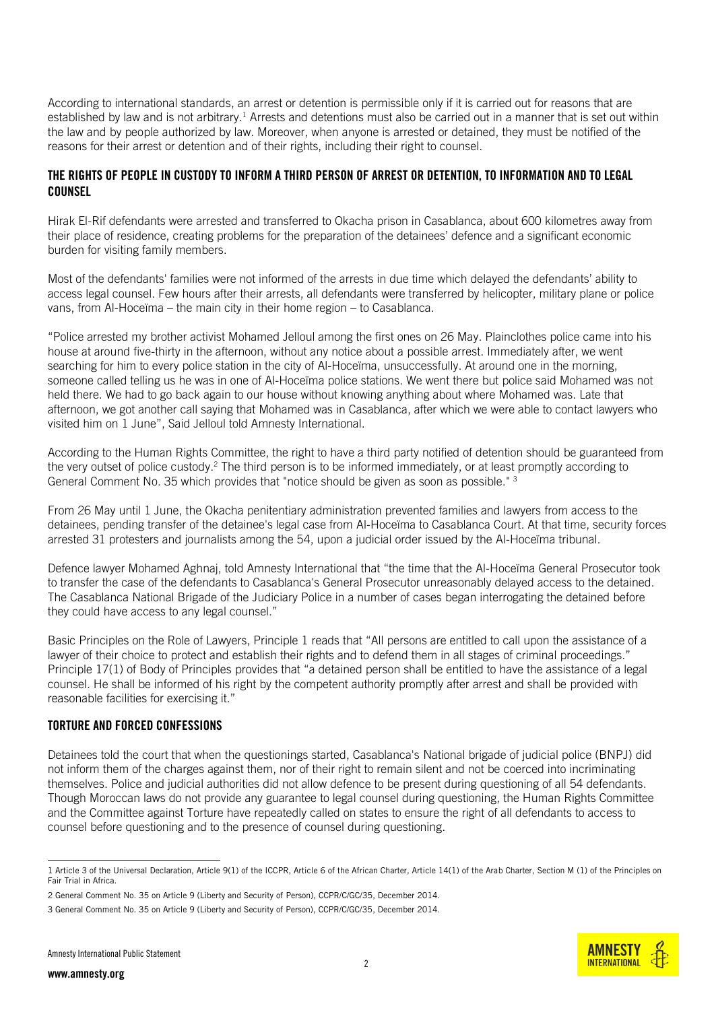According to international standards, an arrest or detention is permissible only if it is carried out for reasons that are established by law and is not arbitrary.<sup>1</sup> Arrests and detentions must also be carried out in a manner that is set out within the law and by people authorized by law. Moreover, when anyone is arrested or detained, they must be notified of the reasons for their arrest or detention and of their rights, including their right to counsel.

#### THE RIGHTS OF PEOPLE IN CUSTODY TO INFORM A THIRD PERSON OF ARREST OR DETENTION, TO INFORMATION AND TO LEGAL COUNSEL

Hirak El-Rif defendants were arrested and transferred to Okacha prison in Casablanca, about 600 kilometres away from their place of residence, creating problems for the preparation of the detainees' defence and a significant economic burden for visiting family members.

Most of the defendants' families were not informed of the arrests in due time which delayed the defendants' ability to access legal counsel. Few hours after their arrests, all defendants were transferred by helicopter, military plane or police vans, from Al-Hoceïma – the main city in their home region – to Casablanca.

"Police arrested my brother activist Mohamed Jelloul among the first ones on 26 May. Plainclothes police came into his house at around five-thirty in the afternoon, without any notice about a possible arrest. Immediately after, we went searching for him to every police station in the city of Al-Hoceïma, unsuccessfully. At around one in the morning, someone called telling us he was in one of Al-Hoceïma police stations. We went there but police said Mohamed was not held there. We had to go back again to our house without knowing anything about where Mohamed was. Late that afternoon, we got another call saying that Mohamed was in Casablanca, after which we were able to contact lawyers who visited him on 1 June", Said Jelloul told Amnesty International.

According to the Human Rights Committee, the right to have a third party notified of detention should be guaranteed from the very outset of police custody.<sup>2</sup> The third person is to be informed immediately, or at least promptly according to General Comment No. 35 which provides that "notice should be given as soon as possible." 3

From 26 May until 1 June, the Okacha penitentiary administration prevented families and lawyers from access to the detainees, pending transfer of the detainee's legal case from Al-Hoceïma to Casablanca Court. At that time, security forces arrested 31 protesters and journalists among the 54, upon a judicial order issued by the Al-Hoceïma tribunal.

Defence lawyer Mohamed Aghnaj, told Amnesty International that "the time that the Al-Hoceïma General Prosecutor took to transfer the case of the defendants to Casablanca's General Prosecutor unreasonably delayed access to the detained. The Casablanca National Brigade of the Judiciary Police in a number of cases began interrogating the detained before they could have access to any legal counsel."

Basic Principles on the Role of Lawyers, Principle 1 reads that "All persons are entitled to call upon the assistance of a lawyer of their choice to protect and establish their rights and to defend them in all stages of criminal proceedings." Principle 17(1) of Body of Principles provides that "a detained person shall be entitled to have the assistance of a legal counsel. He shall be informed of his right by the competent authority promptly after arrest and shall be provided with reasonable facilities for exercising it."

#### TORTURE AND FORCED CONFESSIONS

Detainees told the court that when the questionings started, Casablanca's National brigade of judicial police (BNPJ) did not inform them of the charges against them, nor of their right to remain silent and not be coerced into incriminating themselves. Police and judicial authorities did not allow defence to be present during questioning of all 54 defendants. Though Moroccan laws do not provide any guarantee to legal counsel during questioning, the Human Rights Committee and the Committee against Torture have repeatedly called on states to ensure the right of all defendants to access to counsel before questioning and to the presence of counsel during questioning.

<sup>-</sup>1 Article 3 of the Universal Declaration, Article 9(1) of the ICCPR, Article 6 of the African Charter, Article 14(1) of the Arab Charter, Section M (1) of the Principles on Fair Trial in Africa.

<sup>2</sup> General Comment No. 35 on Article 9 (Liberty and Security of Person), CCPR/C/GC/35, December 2014.

<sup>3</sup> General Comment No. 35 on Article 9 (Liberty and Security of Person), CCPR/C/GC/35, December 2014.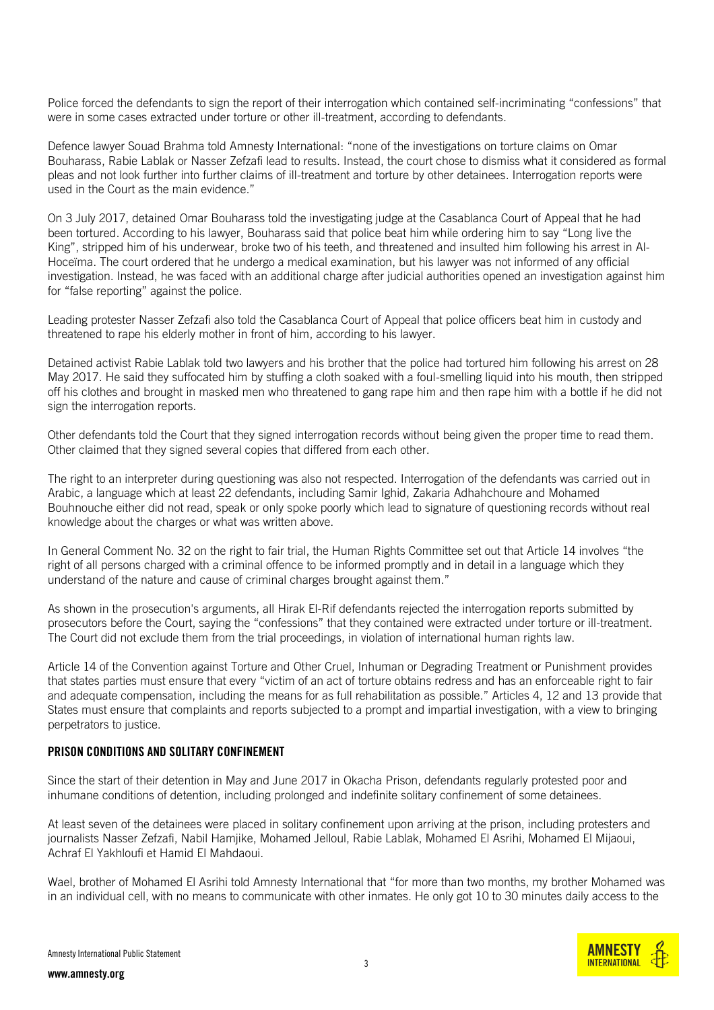Police forced the defendants to sign the report of their interrogation which contained self-incriminating "confessions" that were in some cases extracted under torture or other ill-treatment, according to defendants.

Defence lawyer Souad Brahma told Amnesty International: "none of the investigations on torture claims on Omar Bouharass, Rabie Lablak or Nasser Zefzafi lead to results. Instead, the court chose to dismiss what it considered as formal pleas and not look further into further claims of ill-treatment and torture by other detainees. Interrogation reports were used in the Court as the main evidence."

On 3 July 2017, detained Omar Bouharass told the investigating judge at the Casablanca Court of Appeal that he had been tortured. According to his lawyer, Bouharass said that police beat him while ordering him to say "Long live the King", stripped him of his underwear, broke two of his teeth, and threatened and insulted him following his arrest in Al-Hoceïma. The court ordered that he undergo a medical examination, but his lawyer was not informed of any official investigation. Instead, he was faced with an additional charge after judicial authorities opened an investigation against him for "false reporting" against the police.

Leading protester Nasser Zefzafi also told the Casablanca Court of Appeal that police officers beat him in custody and threatened to rape his elderly mother in front of him, according to his lawyer.

Detained activist Rabie Lablak told two lawyers and his brother that the police had tortured him following his arrest on 28 May 2017. He said they suffocated him by stuffing a cloth soaked with a foul-smelling liquid into his mouth, then stripped off his clothes and brought in masked men who threatened to gang rape him and then rape him with a bottle if he did not sign the interrogation reports.

Other defendants told the Court that they signed interrogation records without being given the proper time to read them. Other claimed that they signed several copies that differed from each other.

The right to an interpreter during questioning was also not respected. Interrogation of the defendants was carried out in Arabic, a language which at least 22 defendants, including Samir Ighid, Zakaria Adhahchoure and Mohamed Bouhnouche either did not read, speak or only spoke poorly which lead to signature of questioning records without real knowledge about the charges or what was written above.

In General Comment No. 32 on the right to fair trial, the Human Rights Committee set out that Article 14 involves "the right of all persons charged with a criminal offence to be informed promptly and in detail in a language which they understand of the nature and cause of criminal charges brought against them."

As shown in the prosecution's arguments, all Hirak El-Rif defendants rejected the interrogation reports submitted by prosecutors before the Court, saying the "confessions" that they contained were extracted under torture or ill-treatment. The Court did not exclude them from the trial proceedings, in violation of international human rights law.

Article 14 of the Convention against Torture and Other Cruel, Inhuman or Degrading Treatment or Punishment provides that states parties must ensure that every "victim of an act of torture obtains redress and has an enforceable right to fair and adequate compensation, including the means for as full rehabilitation as possible." Articles 4, 12 and 13 provide that States must ensure that complaints and reports subjected to a prompt and impartial investigation, with a view to bringing perpetrators to justice.

#### PRISON CONDITIONS AND SOLITARY CONFINEMENT

Since the start of their detention in May and June 2017 in Okacha Prison, defendants regularly protested poor and inhumane conditions of detention, including prolonged and indefinite solitary confinement of some detainees.

At least seven of the detainees were placed in solitary confinement upon arriving at the prison, including protesters and journalists Nasser Zefzafi, Nabil Hamjike, Mohamed Jelloul, Rabie Lablak, Mohamed El Asrihi, Mohamed El Mijaoui, Achraf El Yakhloufi et Hamid El Mahdaoui.

Wael, brother of Mohamed El Asrihi told Amnesty International that "for more than two months, my brother Mohamed was in an individual cell, with no means to communicate with other inmates. He only got 10 to 30 minutes daily access to the

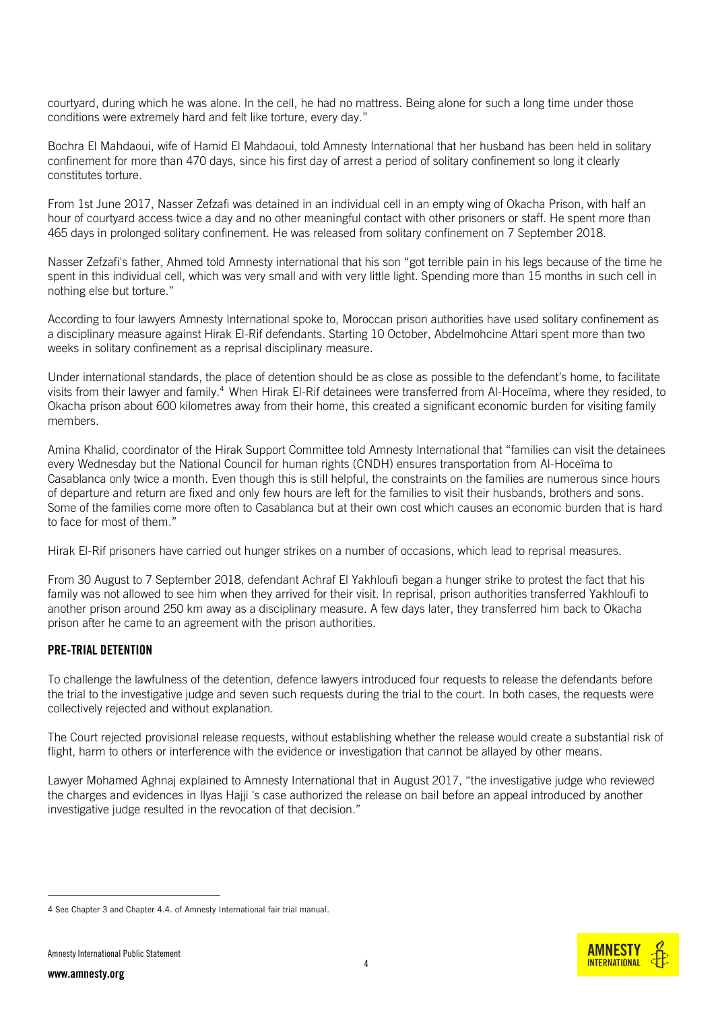courtyard, during which he was alone. In the cell, he had no mattress. Being alone for such a long time under those conditions were extremely hard and felt like torture, every day."

Bochra El Mahdaoui, wife of Hamid El Mahdaoui, told Amnesty International that her husband has been held in solitary confinement for more than 470 days, since his first day of arrest a period of solitary confinement so long it clearly constitutes torture.

From 1st June 2017, Nasser Zefzafi was detained in an individual cell in an empty wing of Okacha Prison, with half an hour of courtyard access twice a day and no other meaningful contact with other prisoners or staff. He spent more than 465 days in prolonged solitary confinement. He was released from solitary confinement on 7 September 2018.

Nasser Zefzafi's father, Ahmed told Amnesty international that his son "got terrible pain in his legs because of the time he spent in this individual cell, which was very small and with very little light. Spending more than 15 months in such cell in nothing else but torture."

According to four lawyers Amnesty International spoke to, Moroccan prison authorities have used solitary confinement as a disciplinary measure against Hirak El-Rif defendants. Starting 10 October, Abdelmohcine Attari spent more than two weeks in solitary confinement as a reprisal disciplinary measure.

Under international standards, the place of detention should be as close as possible to the defendant's home, to facilitate visits from their lawyer and family.<sup>4</sup> When Hirak El-Rif detainees were transferred from Al-Hoceïma, where they resided, to Okacha prison about 600 kilometres away from their home, this created a significant economic burden for visiting family members.

Amina Khalid, coordinator of the Hirak Support Committee told Amnesty International that "families can visit the detainees every Wednesday but the National Council for human rights (CNDH) ensures transportation from Al-Hoceïma to Casablanca only twice a month. Even though this is still helpful, the constraints on the families are numerous since hours of departure and return are fixed and only few hours are left for the families to visit their husbands, brothers and sons. Some of the families come more often to Casablanca but at their own cost which causes an economic burden that is hard to face for most of them."

Hirak El-Rif prisoners have carried out hunger strikes on a number of occasions, which lead to reprisal measures.

From 30 August to 7 September 2018, defendant Achraf El Yakhloufi began a hunger strike to protest the fact that his family was not allowed to see him when they arrived for their visit. In reprisal, prison authorities transferred Yakhloufi to another prison around 250 km away as a disciplinary measure. A few days later, they transferred him back to Okacha prison after he came to an agreement with the prison authorities.

#### PRE-TRIAL DETENTION

To challenge the lawfulness of the detention, defence lawyers introduced four requests to release the defendants before the trial to the investigative judge and seven such requests during the trial to the court. In both cases, the requests were collectively rejected and without explanation.

The Court rejected provisional release requests, without establishing whether the release would create a substantial risk of flight, harm to others or interference with the evidence or investigation that cannot be allayed by other means.

Lawyer Mohamed Aghnaj explained to Amnesty International that in August 2017, "the investigative judge who reviewed the charges and evidences in Ilyas Hajji 's case authorized the release on bail before an appeal introduced by another investigative judge resulted in the revocation of that decision."



<sup>4</sup> See Chapter 3 and Chapter 4.4. of Amnesty Internationa[l fair trial manual.](https://www.amnesty.org/download/Documents/8000/pol300022014en.pdf)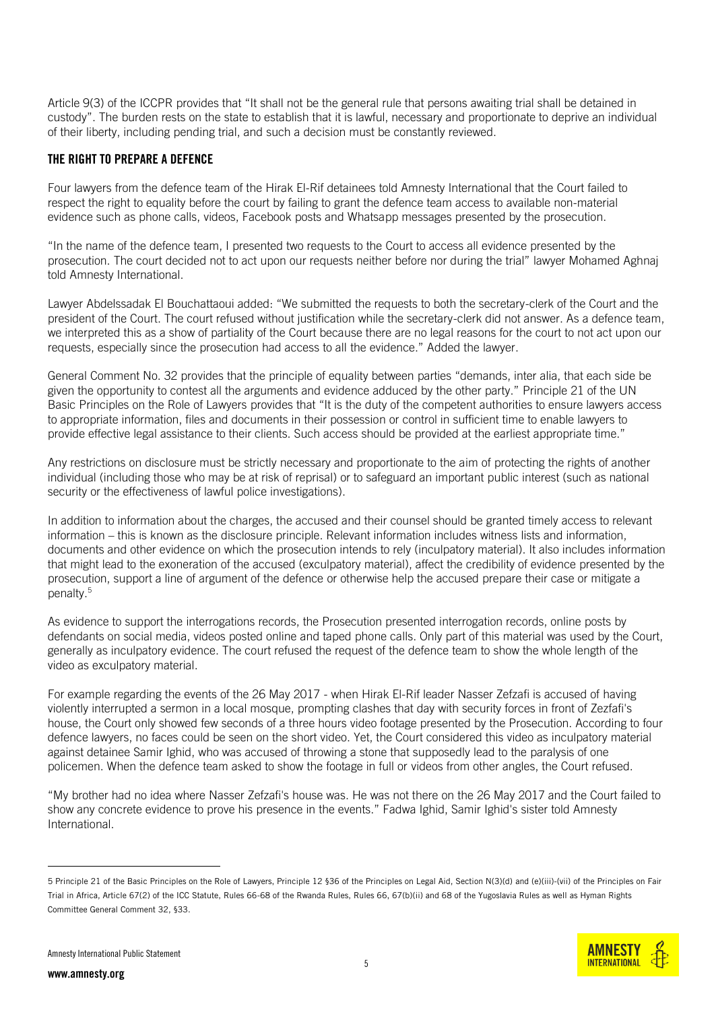Article 9(3) of the ICCPR provides that "It shall not be the general rule that persons awaiting trial shall be detained in custody". The burden rests on the state to establish that it is lawful, necessary and proportionate to deprive an individual of their liberty, including pending trial, and such a decision must be constantly reviewed.

#### THE RIGHT TO PREPARE A DEFENCE

Four lawyers from the defence team of the Hirak El-Rif detainees told Amnesty International that the Court failed to respect the right to equality before the court by failing to grant the defence team access to available non-material evidence such as phone calls, videos, Facebook posts and Whatsapp messages presented by the prosecution.

"In the name of the defence team, I presented two requests to the Court to access all evidence presented by the prosecution. The court decided not to act upon our requests neither before nor during the trial" lawyer Mohamed Aghnaj told Amnesty International.

Lawyer Abdelssadak El Bouchattaoui added: "We submitted the requests to both the secretary-clerk of the Court and the president of the Court. The court refused without justification while the secretary-clerk did not answer. As a defence team, we interpreted this as a show of partiality of the Court because there are no legal reasons for the court to not act upon our requests, especially since the prosecution had access to all the evidence." Added the lawyer.

General Comment No. 32 provides that the principle of equality between parties "demands, inter alia, that each side be given the opportunity to contest all the arguments and evidence adduced by the other party." Principle 21 of the UN Basic [Principles](https://www.ohchr.org/en/professionalinterest/pages/roleoflawyers.aspx) on the Role of Lawyers provides that "It is the duty of the competent authorities to ensure lawyers access to appropriate information, files and documents in their possession or control in sufficient time to enable lawyers to provide effective legal assistance to their clients. Such access should be provided at the earliest appropriate time."

Any restrictions on disclosure must be strictly necessary and proportionate to the aim of protecting the rights of another individual (including those who may be at risk of reprisal) or to safeguard an important public interest (such as national security or the effectiveness of lawful police investigations).

In addition to information about the charges, the accused and their counsel should be granted timely access to relevant information – this is known as the disclosure principle. Relevant information includes witness lists and information, documents and other evidence on which the prosecution intends to rely (inculpatory material). It also includes information that might lead to the exoneration of the accused (exculpatory material), affect the credibility of evidence presented by the prosecution, support a line of argument of the defence or otherwise help the accused prepare their case or mitigate a penalty. 5

As evidence to support the interrogations records, the Prosecution presented interrogation records, online posts by defendants on social media, videos posted online and taped phone calls. Only part of this material was used by the Court, generally as inculpatory evidence. The court refused the request of the defence team to show the whole length of the video as exculpatory material.

For example regarding the events of the 26 May 2017 - when Hirak El-Rif leader Nasser Zefzafi is accused of [having](https://www.reuters.com/article/us-morocco-protests/clashes-after-activist-interrupts-sermon-in-north-moroccan-town-idUSKBN18M2JV)  [violently interrupted a sermon](https://www.reuters.com/article/us-morocco-protests/clashes-after-activist-interrupts-sermon-in-north-moroccan-town-idUSKBN18M2JV) in a local mosque, prompting clashes that day with security forces in front of Zezfafi's house, the Court only showed few seconds of a three hours video footage presented by the Prosecution. According to four defence lawyers, no faces could be seen on the short video. Yet, the Court considered this video as inculpatory material against detainee Samir Ighid, who was accused of throwing a stone that supposedly lead to the paralysis of one policemen. When the defence team asked to show the footage in full or videos from other angles, the Court refused.

"My brother had no idea where Nasser Zefzafi's house was. He was not there on the 26 May 2017 and the Court failed to show any concrete evidence to prove his presence in the events." Fadwa Ighid, Samir Ighid's sister told Amnesty International.

<sup>5</sup> Principle 21 of the Basic Principles on the Role of Lawyers, Principle 12 §36 of the Principles on Legal Aid, Section N(3)(d) and (e)(iii)-(vii) of the Principles on Fair Trial in Africa, Article 67(2) of the ICC Statute, Rules 66-68 of the Rwanda Rules, Rules 66, 67(b)(ii) and 68 of the Yugoslavia Rules as well as Hyman Rights Committee General Comment 32, §33.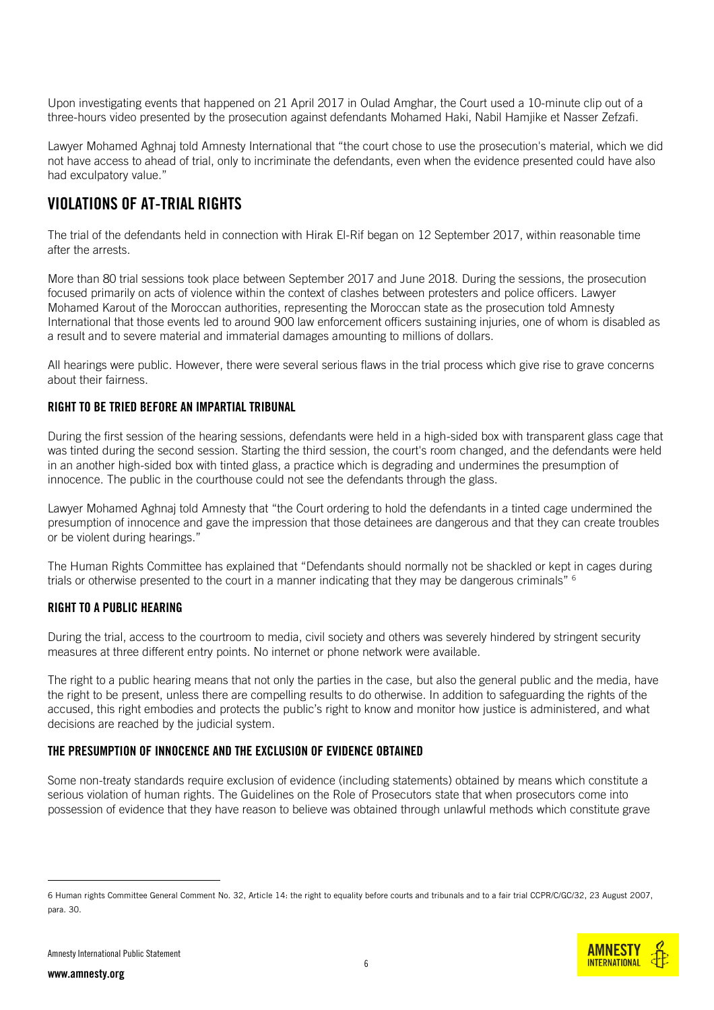Upon investigating events that happened on 21 April 2017 in Oulad Amghar, the Court used a 10-minute clip out of a three-hours video presented by the prosecution against defendants Mohamed Haki, Nabil Hamjike et Nasser Zefzafi.

Lawyer Mohamed Aghnaj told Amnesty International that "the court chose to use the prosecution's material, which we did not have access to ahead of trial, only to incriminate the defendants, even when the evidence presented could have also had exculpatory value."

### VIOLATIONS OF AT-TRIAL RIGHTS

The trial of the defendants held in connection with Hirak El-Rif began on 12 September 2017, within reasonable time after the arrests.

More than 80 trial sessions took place between September 2017 and June 2018. During the sessions, the prosecution focused primarily on acts of violence within the context of clashes between protesters and police officers. Lawyer Mohamed Karout of the Moroccan authorities, representing the Moroccan state as the prosecution told Amnesty International that those events led to around 900 law enforcement officers sustaining injuries, one of whom is disabled as a result and to severe material and immaterial damages amounting to millions of dollars.

All hearings were public. However, there were several serious flaws in the trial process which give rise to grave concerns about their fairness.

#### RIGHT TO BE TRIED BEFORE AN IMPARTIAL TRIBUNAL

During the first session of the hearing sessions, defendants were held in a high-sided box with transparent glass cage that was tinted during the second session. Starting the third session, the court's room changed, and the defendants were held in an another high-sided box with tinted glass, a practice which is degrading and undermines the presumption of innocence. The public in the courthouse could not see the defendants through the glass.

Lawyer Mohamed Aghnaj told Amnesty that "the Court ordering to hold the defendants in a tinted cage undermined the presumption of innocence and gave the impression that those detainees are dangerous and that they can create troubles or be violent during hearings."

The Human Rights Committee has explained that "Defendants should normally not be shackled or kept in cages during trials or otherwise presented to the court in a manner indicating that they may be dangerous criminals" <sup>6</sup>

#### RIGHT TO A PUBLIC HEARING

During the trial, access to the courtroom to media, civil society and others was severely hindered by stringent security measures at three different entry points. No internet or phone network were available.

The right to a public hearing means that not only the parties in the case, but also the general public and the media, have the right to be present, unless there are compelling results to do otherwise. In addition to safeguarding the rights of the accused, this right embodies and protects the public's right to know and monitor how justice is administered, and what decisions are reached by the judicial system.

#### THE PRESUMPTION OF INNOCENCE AND THE EXCLUSION OF EVIDENCE OBTAINED

Some non-treaty standards require exclusion of evidence (including statements) obtained by means which constitute a serious violation of human rights. The Guidelines on the Role of Prosecutors state that when prosecutors come into possession of evidence that they have reason to believe was obtained through unlawful methods which constitute grave

<sup>6</sup> Human rights Committee General Comment No. 32, Article 14: the right to equality before courts and tribunals and to a fair trial CCPR/C/GC/32, 23 August 2007, para. 30.

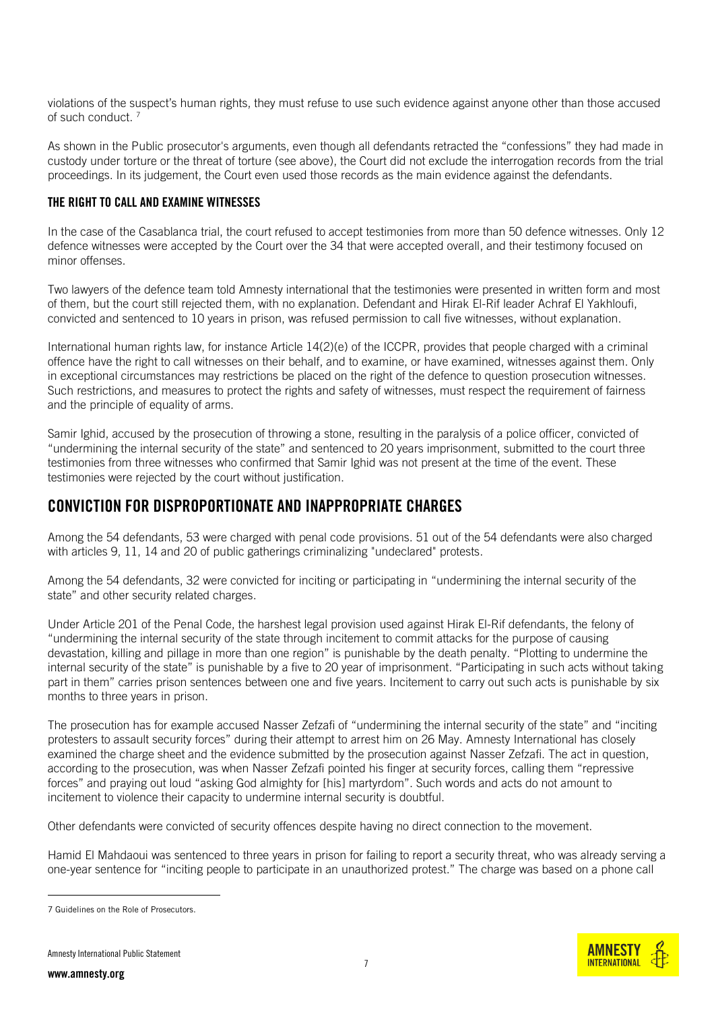violations of the suspect's human rights, they must refuse to use such evidence against anyone other than those accused of such conduct. <sup>7</sup>

As shown in the Public prosecutor's arguments, even though all defendants retracted the "confessions" they had made in custody under torture or the threat of torture (see above), the Court did not exclude the interrogation records from the trial proceedings. In its judgement, the Court even used those records as the main evidence against the defendants.

#### THE RIGHT TO CALL AND EXAMINE WITNESSES

In the case of the Casablanca trial, the court refused to accept testimonies from more than 50 defence witnesses. Only 12 defence witnesses were accepted by the Court over the 34 that were accepted overall, and their testimony focused on minor offenses.

Two lawyers of the defence team told Amnesty international that the testimonies were presented in written form and most of them, but the court still rejected them, with no explanation. Defendant and Hirak El-Rif leader Achraf El Yakhloufi, convicted and sentenced to 10 years in prison, was refused permission to call five witnesses, without explanation.

International human rights law, for instance Article 14(2)(e) of the ICCPR, provides that people charged with a criminal offence have the right to call witnesses on their behalf, and to examine, or have examined, witnesses against them. Only in exceptional circumstances may restrictions be placed on the right of the defence to question prosecution witnesses. Such restrictions, and measures to protect the rights and safety of witnesses, must respect the requirement of fairness and the principle of equality of arms.

Samir Ighid, accused by the prosecution of throwing a stone, resulting in the paralysis of a police officer, convicted of "undermining the internal security of the state" and sentenced to 20 years imprisonment, submitted to the court three testimonies from three witnesses who confirmed that Samir Ighid was not present at the time of the event. These testimonies were rejected by the court without justification.

### CONVICTION FOR DISPROPORTIONATE AND INAPPROPRIATE CHARGES

Among the 54 defendants, 53 were charged with penal code provisions. 51 out of the 54 defendants were also charged with articles 9, 11, 14 and 20 of public gatherings criminalizing "undeclared" protests.

Among the 54 defendants, 32 were convicted for inciting or participating in "undermining the internal security of the state" and other security related charges.

Under Article 201 of the Penal Code, the harshest legal provision used against Hirak El-Rif defendants, the felony of "undermining the internal security of the state through incitement to commit attacks for the purpose of causing devastation, killing and pillage in more than one region" is punishable by the death penalty. "Plotting to undermine the internal security of the state" is punishable by a five to 20 year of imprisonment. "Participating in such acts without taking part in them" carries prison sentences between one and five years. Incitement to carry out such acts is punishable by six months to three years in prison.

The prosecution has for example accused Nasser Zefzafi of "undermining the internal security of the state" and "inciting protesters to assault security forces" during their attempt to arrest him on 26 May. Amnesty International has closely examined the charge sheet and the evidence submitted by the prosecution against Nasser Zefzafi. The act in question, according to the prosecution, was when Nasser Zefzafi pointed his finger at security forces, calling them "repressive forces" and praying out loud "asking God almighty for [his] martyrdom". Such words and acts do not amount to incitement to violence their capacity to undermine internal security is doubtful.

Other defendants were convicted of security offences despite having no direct connection to the movement.

Hamid El Mahdaoui was sentenced to three years in prison for failing to report a security threat, who was already serving a one-year sentence for "inciting people to participate in an unauthorized protest." The charge was based on a phone call

<sup>7</sup> [Guidelines on the Role of Prosecutors.](https://www.ohchr.org/EN/Professionalinterest/Pages/RoleOfProsecutors.aspx)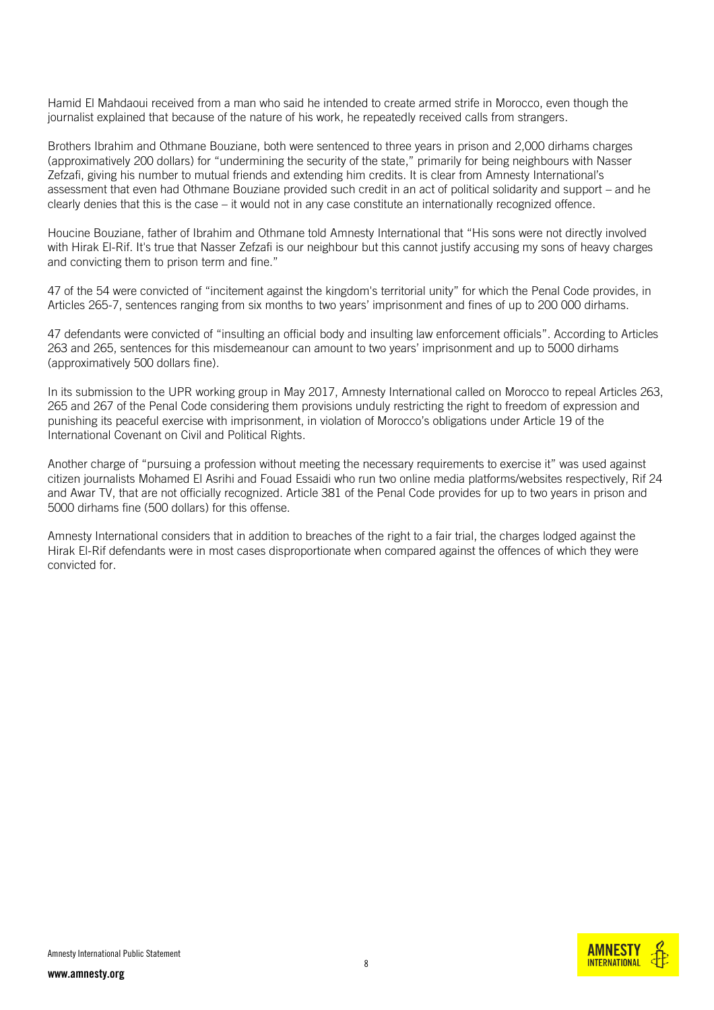Hamid El Mahdaoui received from a man who said he intended to create armed strife in Morocco, even though the journalist explained that because of the nature of his work, he repeatedly received calls from strangers.

Brothers Ibrahim and Othmane Bouziane, both were sentenced to three years in prison and 2,000 dirhams charges (approximatively 200 dollars) for "undermining the security of the state," primarily for being neighbours with Nasser Zefzafi, giving his number to mutual friends and extending him credits. It is clear from Amnesty International's assessment that even had Othmane Bouziane provided such credit in an act of political solidarity and support – and he clearly denies that this is the case – it would not in any case constitute an internationally recognized offence.

Houcine Bouziane, father of Ibrahim and Othmane told Amnesty International that "His sons were not directly involved with Hirak El-Rif. It's true that Nasser Zefzafi is our neighbour but this cannot justify accusing my sons of heavy charges and convicting them to prison term and fine."

47 of the 54 were convicted of "incitement against the kingdom's territorial unity" for which the Penal Code provides, in Articles 265-7, sentences ranging from six months to two years' imprisonment and fines of up to 200 000 dirhams.

47 defendants were convicted of "insulting an official body and insulting law enforcement officials". According to Articles 263 and 265, sentences for this misdemeanour can amount to two years' imprisonment and up to 5000 dirhams (approximatively 500 dollars fine).

In its [submission](https://www.amnesty.org/download/Documents/MDE2954702016ENGLISH.pdf) to the UPR working group in May 2017, Amnesty International called on Morocco to repeal Articles 263, 265 and 267 of the Penal Code considering them provisions unduly restricting the right to freedom of expression and punishing its peaceful exercise with imprisonment, in violation of Morocco's obligations under Article 19 of the [International Covenant on Civil and Political Rights.](https://www.ohchr.org/en/professionalinterest/pages/ccpr.aspx)

Another charge of "pursuing a profession without meeting the necessary requirements to exercise it" was used against citizen journalists Mohamed El Asrihi and Fouad Essaidi who run two online media platforms/websites respectively, Rif 24 and Awar TV, that are not officially recognized. Article 381 of the Penal Code provides for up to two years in prison and 5000 dirhams fine (500 dollars) for this offense.

Amnesty International considers that in addition to breaches of the right to a fair trial, the charges lodged against the Hirak El-Rif defendants were in most cases disproportionate when compared against the offences of which they were convicted for.

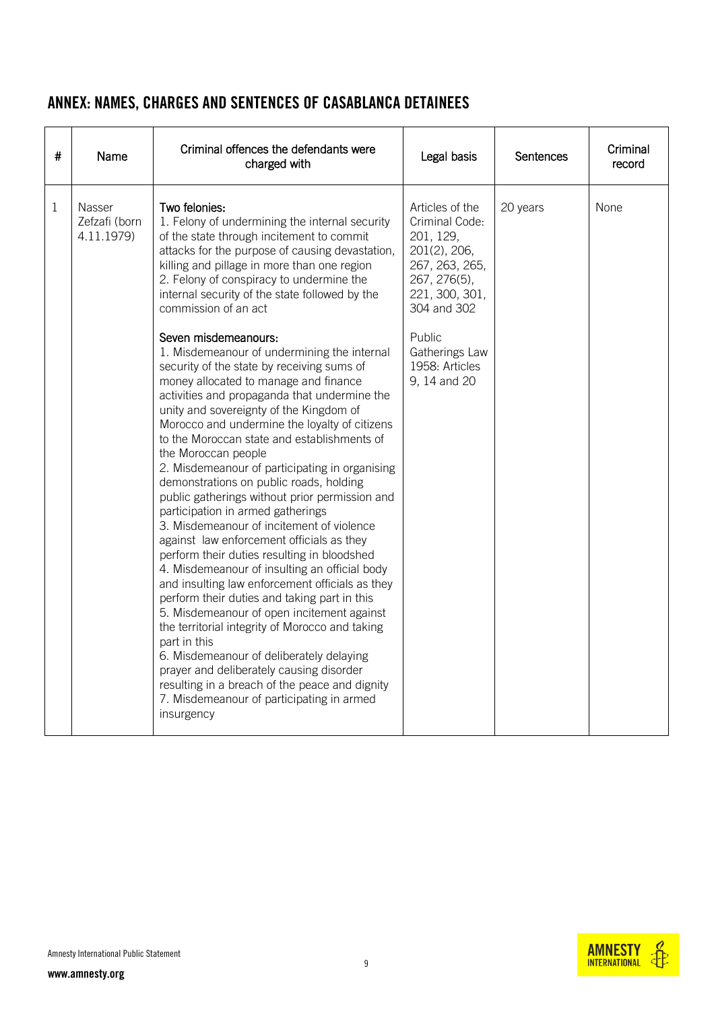## ANNEX: NAMES, CHARGES AND SENTENCES OF CASABLANCA DETAINEES

| # | Name                                  | Criminal offences the defendants were<br>charged with                                                                                                                                                                                                                                                                                                                                                                                                                                                                                                                                                                                                                                                                                                                                                                                                                                                                                                                                                                                                                                                                                                                                                                                                                                                                                                                                                                                                                                                                       | Legal basis                                                                                                                                                                                     | <b>Sentences</b> | Criminal<br>record |
|---|---------------------------------------|-----------------------------------------------------------------------------------------------------------------------------------------------------------------------------------------------------------------------------------------------------------------------------------------------------------------------------------------------------------------------------------------------------------------------------------------------------------------------------------------------------------------------------------------------------------------------------------------------------------------------------------------------------------------------------------------------------------------------------------------------------------------------------------------------------------------------------------------------------------------------------------------------------------------------------------------------------------------------------------------------------------------------------------------------------------------------------------------------------------------------------------------------------------------------------------------------------------------------------------------------------------------------------------------------------------------------------------------------------------------------------------------------------------------------------------------------------------------------------------------------------------------------------|-------------------------------------------------------------------------------------------------------------------------------------------------------------------------------------------------|------------------|--------------------|
| 1 | Nasser<br>Zefzafi (born<br>4.11.1979) | Two felonies:<br>1. Felony of undermining the internal security<br>of the state through incitement to commit<br>attacks for the purpose of causing devastation,<br>killing and pillage in more than one region<br>2. Felony of conspiracy to undermine the<br>internal security of the state followed by the<br>commission of an act<br>Seven misdemeanours:<br>1. Misdemeanour of undermining the internal<br>security of the state by receiving sums of<br>money allocated to manage and finance<br>activities and propaganda that undermine the<br>unity and sovereignty of the Kingdom of<br>Morocco and undermine the loyalty of citizens<br>to the Moroccan state and establishments of<br>the Moroccan people<br>2. Misdemeanour of participating in organising<br>demonstrations on public roads, holding<br>public gatherings without prior permission and<br>participation in armed gatherings<br>3. Misdemeanour of incitement of violence<br>against law enforcement officials as they<br>perform their duties resulting in bloodshed<br>4. Misdemeanour of insulting an official body<br>and insulting law enforcement officials as they<br>perform their duties and taking part in this<br>5. Misdemeanour of open incitement against<br>the territorial integrity of Morocco and taking<br>part in this<br>6. Misdemeanour of deliberately delaying<br>prayer and deliberately causing disorder<br>resulting in a breach of the peace and dignity<br>7. Misdemeanour of participating in armed<br>insurgency | Articles of the<br>Criminal Code:<br>201, 129,<br>201(2), 206,<br>267, 263, 265,<br>267, 276(5),<br>221, 300, 301,<br>304 and 302<br>Public<br>Gatherings Law<br>1958: Articles<br>9, 14 and 20 | 20 years         | None               |

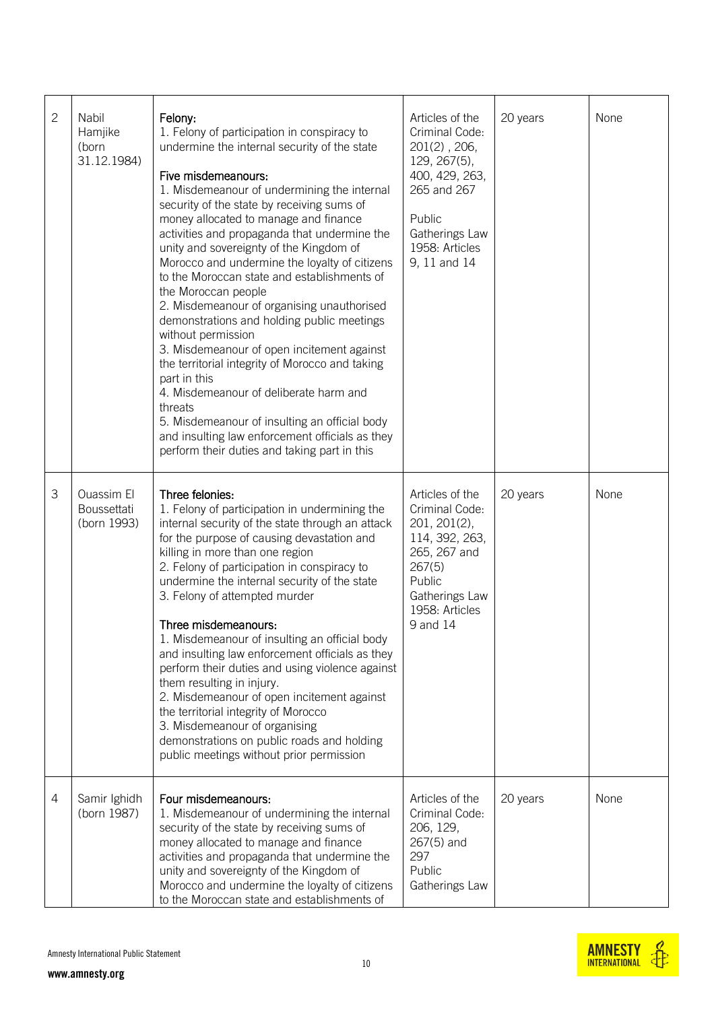| $\mathbf{2}$ | Nabil<br>Hamjike<br>(born<br>31.12.1984) | Felony:<br>1. Felony of participation in conspiracy to<br>undermine the internal security of the state<br>Five misdemeanours:<br>1. Misdemeanour of undermining the internal<br>security of the state by receiving sums of<br>money allocated to manage and finance<br>activities and propaganda that undermine the<br>unity and sovereignty of the Kingdom of<br>Morocco and undermine the loyalty of citizens<br>to the Moroccan state and establishments of<br>the Moroccan people<br>2. Misdemeanour of organising unauthorised<br>demonstrations and holding public meetings<br>without permission<br>3. Misdemeanour of open incitement against<br>the territorial integrity of Morocco and taking<br>part in this<br>4. Misdemeanour of deliberate harm and<br>threats<br>5. Misdemeanour of insulting an official body<br>and insulting law enforcement officials as they<br>perform their duties and taking part in this | Articles of the<br>Criminal Code:<br>$201(2)$ , $206$ ,<br>129, 267(5),<br>400, 429, 263,<br>265 and 267<br>Public<br>Gatherings Law<br>1958: Articles<br>9, 11 and 14 | 20 years | None |
|--------------|------------------------------------------|-----------------------------------------------------------------------------------------------------------------------------------------------------------------------------------------------------------------------------------------------------------------------------------------------------------------------------------------------------------------------------------------------------------------------------------------------------------------------------------------------------------------------------------------------------------------------------------------------------------------------------------------------------------------------------------------------------------------------------------------------------------------------------------------------------------------------------------------------------------------------------------------------------------------------------------|------------------------------------------------------------------------------------------------------------------------------------------------------------------------|----------|------|
| З            | Ouassim El<br>Boussettati<br>(born 1993) | Three felonies:<br>1. Felony of participation in undermining the<br>internal security of the state through an attack<br>for the purpose of causing devastation and<br>killing in more than one region<br>2. Felony of participation in conspiracy to<br>undermine the internal security of the state<br>3. Felony of attempted murder<br>Three misdemeanours:<br>1. Misdemeanour of insulting an official body<br>and insulting law enforcement officials as they<br>perform their duties and using violence against<br>them resulting in injury.<br>2. Misdemeanour of open incitement against<br>the territorial integrity of Morocco<br>3. Misdemeanour of organising<br>demonstrations on public roads and holding<br>public meetings without prior permission                                                                                                                                                                | Articles of the<br>Criminal Code:<br>201, 201(2),<br>114, 392, 263,<br>265, 267 and<br>267(5)<br>Public<br>Gatherings Law<br>1958: Articles<br>9 and 14                | 20 years | None |
| 4            | Samir Ighidh<br>(born 1987)              | Four misdemeanours:<br>1. Misdemeanour of undermining the internal<br>security of the state by receiving sums of<br>money allocated to manage and finance<br>activities and propaganda that undermine the<br>unity and sovereignty of the Kingdom of<br>Morocco and undermine the loyalty of citizens<br>to the Moroccan state and establishments of                                                                                                                                                                                                                                                                                                                                                                                                                                                                                                                                                                              | Articles of the<br>Criminal Code:<br>206, 129,<br>$267(5)$ and<br>297<br>Public<br>Gatherings Law                                                                      | 20 years | None |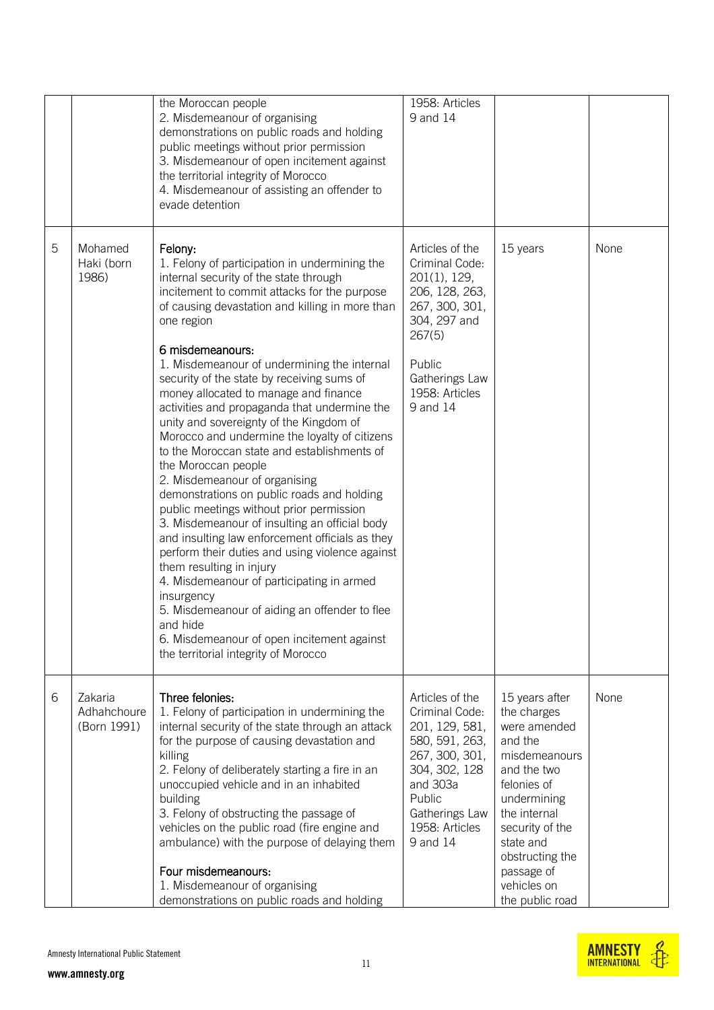|   |                                       | the Moroccan people<br>2. Misdemeanour of organising<br>demonstrations on public roads and holding<br>public meetings without prior permission<br>3. Misdemeanour of open incitement against<br>the territorial integrity of Morocco<br>4. Misdemeanour of assisting an offender to<br>evade detention                                                                                                                                                                                                                                                                                                                                                                                                                                                                                                                                                                                                                                                                                                                                                                                                                      | 1958: Articles<br>9 and 14                                                                                                                                                     |                                                                                                                                                                                                                                           |      |
|---|---------------------------------------|-----------------------------------------------------------------------------------------------------------------------------------------------------------------------------------------------------------------------------------------------------------------------------------------------------------------------------------------------------------------------------------------------------------------------------------------------------------------------------------------------------------------------------------------------------------------------------------------------------------------------------------------------------------------------------------------------------------------------------------------------------------------------------------------------------------------------------------------------------------------------------------------------------------------------------------------------------------------------------------------------------------------------------------------------------------------------------------------------------------------------------|--------------------------------------------------------------------------------------------------------------------------------------------------------------------------------|-------------------------------------------------------------------------------------------------------------------------------------------------------------------------------------------------------------------------------------------|------|
| 5 | Mohamed<br>Haki (born<br>1986)        | Felony:<br>1. Felony of participation in undermining the<br>internal security of the state through<br>incitement to commit attacks for the purpose<br>of causing devastation and killing in more than<br>one region<br>6 misdemeanours:<br>1. Misdemeanour of undermining the internal<br>security of the state by receiving sums of<br>money allocated to manage and finance<br>activities and propaganda that undermine the<br>unity and sovereignty of the Kingdom of<br>Morocco and undermine the loyalty of citizens<br>to the Moroccan state and establishments of<br>the Moroccan people<br>2. Misdemeanour of organising<br>demonstrations on public roads and holding<br>public meetings without prior permission<br>3. Misdemeanour of insulting an official body<br>and insulting law enforcement officials as they<br>perform their duties and using violence against<br>them resulting in injury<br>4. Misdemeanour of participating in armed<br>insurgency<br>5. Misdemeanour of aiding an offender to flee<br>and hide<br>6. Misdemeanour of open incitement against<br>the territorial integrity of Morocco | Articles of the<br>Criminal Code:<br>201(1), 129,<br>206, 128, 263,<br>267, 300, 301,<br>304, 297 and<br>267(5)<br>Public<br>Gatherings Law<br>1958: Articles<br>9 and 14      | 15 years                                                                                                                                                                                                                                  | None |
| 6 | Zakaria<br>Adhahchoure<br>(Born 1991) | Three felonies:<br>1. Felony of participation in undermining the<br>internal security of the state through an attack<br>for the purpose of causing devastation and<br>killing<br>2. Felony of deliberately starting a fire in an<br>unoccupied vehicle and in an inhabited<br>building<br>3. Felony of obstructing the passage of<br>vehicles on the public road (fire engine and<br>ambulance) with the purpose of delaying them<br>Four misdemeanours:<br>1. Misdemeanour of organising<br>demonstrations on public roads and holding                                                                                                                                                                                                                                                                                                                                                                                                                                                                                                                                                                                     | Articles of the<br>Criminal Code:<br>201, 129, 581,<br>580, 591, 263,<br>267, 300, 301,<br>304, 302, 128<br>and 303a<br>Public<br>Gatherings Law<br>1958: Articles<br>9 and 14 | 15 years after<br>the charges<br>were amended<br>and the<br>misdemeanours<br>and the two<br>felonies of<br>undermining<br>the internal<br>security of the<br>state and<br>obstructing the<br>passage of<br>vehicles on<br>the public road | None |

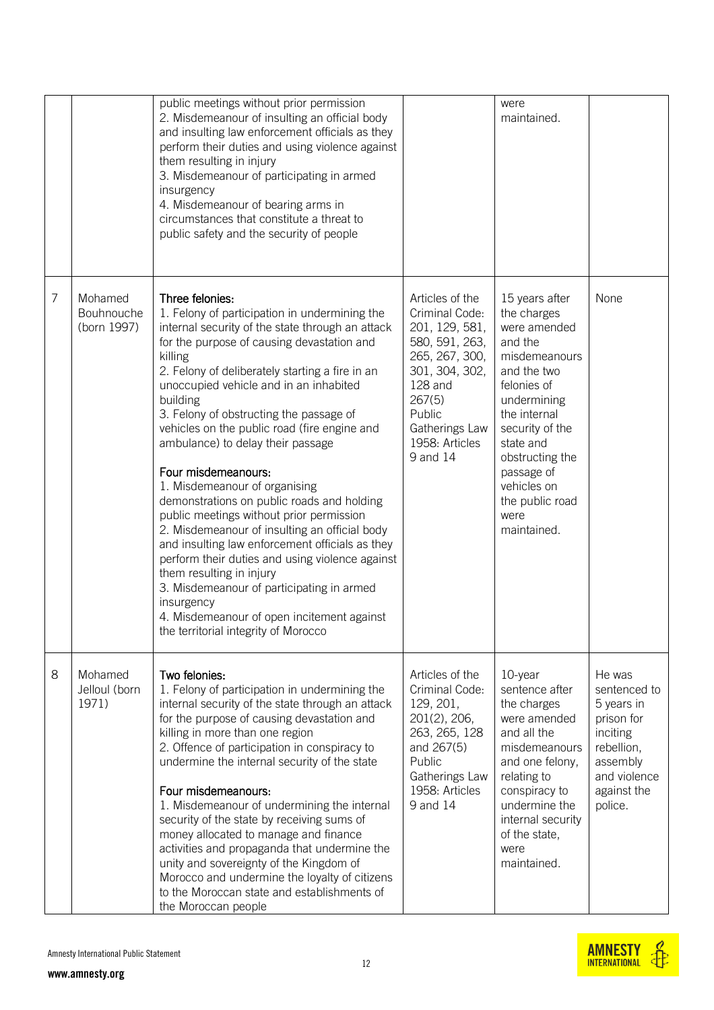|   |                                      | public meetings without prior permission<br>2. Misdemeanour of insulting an official body<br>and insulting law enforcement officials as they<br>perform their duties and using violence against<br>them resulting in injury<br>3. Misdemeanour of participating in armed<br>insurgency<br>4. Misdemeanour of bearing arms in<br>circumstances that constitute a threat to<br>public safety and the security of people                                                                                                                                                                                                                                                                                                                                                                                                                                                                                        |                                                                                                                                                                                          | were<br>maintained.                                                                                                                                                                                                                                              |                                                                                                                                    |
|---|--------------------------------------|--------------------------------------------------------------------------------------------------------------------------------------------------------------------------------------------------------------------------------------------------------------------------------------------------------------------------------------------------------------------------------------------------------------------------------------------------------------------------------------------------------------------------------------------------------------------------------------------------------------------------------------------------------------------------------------------------------------------------------------------------------------------------------------------------------------------------------------------------------------------------------------------------------------|------------------------------------------------------------------------------------------------------------------------------------------------------------------------------------------|------------------------------------------------------------------------------------------------------------------------------------------------------------------------------------------------------------------------------------------------------------------|------------------------------------------------------------------------------------------------------------------------------------|
| 7 | Mohamed<br>Bouhnouche<br>(born 1997) | Three felonies:<br>1. Felony of participation in undermining the<br>internal security of the state through an attack<br>for the purpose of causing devastation and<br>killing<br>2. Felony of deliberately starting a fire in an<br>unoccupied vehicle and in an inhabited<br>building<br>3. Felony of obstructing the passage of<br>vehicles on the public road (fire engine and<br>ambulance) to delay their passage<br>Four misdemeanours:<br>1. Misdemeanour of organising<br>demonstrations on public roads and holding<br>public meetings without prior permission<br>2. Misdemeanour of insulting an official body<br>and insulting law enforcement officials as they<br>perform their duties and using violence against<br>them resulting in injury<br>3. Misdemeanour of participating in armed<br>insurgency<br>4. Misdemeanour of open incitement against<br>the territorial integrity of Morocco | Articles of the<br>Criminal Code:<br>201, 129, 581,<br>580, 591, 263,<br>265, 267, 300,<br>301, 304, 302,<br>128 and<br>267(5)<br>Public<br>Gatherings Law<br>1958: Articles<br>9 and 14 | 15 years after<br>the charges<br>were amended<br>and the<br>misdemeanours<br>and the two<br>felonies of<br>undermining<br>the internal<br>security of the<br>state and<br>obstructing the<br>passage of<br>vehicles on<br>the public road<br>were<br>maintained. | None                                                                                                                               |
| 8 | Mohamed<br>Jelloul (born<br>1971)    | Two felonies:<br>1. Felony of participation in undermining the<br>internal security of the state through an attack<br>for the purpose of causing devastation and<br>killing in more than one region<br>2. Offence of participation in conspiracy to<br>undermine the internal security of the state<br>Four misdemeanours:<br>1. Misdemeanour of undermining the internal<br>security of the state by receiving sums of<br>money allocated to manage and finance<br>activities and propaganda that undermine the<br>unity and sovereignty of the Kingdom of<br>Morocco and undermine the loyalty of citizens<br>to the Moroccan state and establishments of<br>the Moroccan people                                                                                                                                                                                                                           | Articles of the<br>Criminal Code:<br>129, 201,<br>201(2), 206,<br>263, 265, 128<br>and 267(5)<br>Public<br>Gatherings Law<br>1958: Articles<br>9 and 14                                  | 10-year<br>sentence after<br>the charges<br>were amended<br>and all the<br>misdemeanours<br>and one felony,<br>relating to<br>conspiracy to<br>undermine the<br>internal security<br>of the state,<br>were<br>maintained.                                        | He was<br>sentenced to<br>5 years in<br>prison for<br>inciting<br>rebellion,<br>assembly<br>and violence<br>against the<br>police. |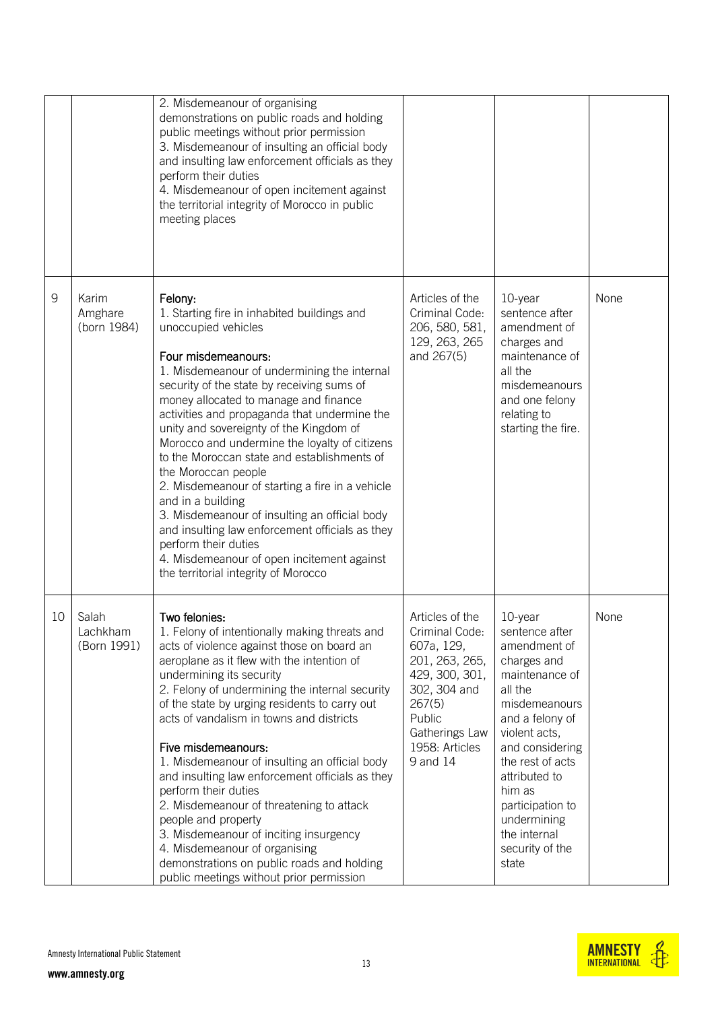|    |                                  | 2. Misdemeanour of organising<br>demonstrations on public roads and holding<br>public meetings without prior permission<br>3. Misdemeanour of insulting an official body<br>and insulting law enforcement officials as they<br>perform their duties<br>4. Misdemeanour of open incitement against<br>the territorial integrity of Morocco in public<br>meeting places                                                                                                                                                                                                                                                                                                                                                                                  |                                                                                                                                                                         |                                                                                                                                                                                                                                                                                             |      |
|----|----------------------------------|--------------------------------------------------------------------------------------------------------------------------------------------------------------------------------------------------------------------------------------------------------------------------------------------------------------------------------------------------------------------------------------------------------------------------------------------------------------------------------------------------------------------------------------------------------------------------------------------------------------------------------------------------------------------------------------------------------------------------------------------------------|-------------------------------------------------------------------------------------------------------------------------------------------------------------------------|---------------------------------------------------------------------------------------------------------------------------------------------------------------------------------------------------------------------------------------------------------------------------------------------|------|
| 9  | Karim<br>Amghare<br>(born 1984)  | Felony:<br>1. Starting fire in inhabited buildings and<br>unoccupied vehicles<br>Four misdemeanours:<br>1. Misdemeanour of undermining the internal<br>security of the state by receiving sums of<br>money allocated to manage and finance<br>activities and propaganda that undermine the<br>unity and sovereignty of the Kingdom of<br>Morocco and undermine the loyalty of citizens<br>to the Moroccan state and establishments of<br>the Moroccan people<br>2. Misdemeanour of starting a fire in a vehicle<br>and in a building<br>3. Misdemeanour of insulting an official body<br>and insulting law enforcement officials as they<br>perform their duties<br>4. Misdemeanour of open incitement against<br>the territorial integrity of Morocco | Articles of the<br>Criminal Code:<br>206, 580, 581,<br>129, 263, 265<br>and 267(5)                                                                                      | 10-year<br>sentence after<br>amendment of<br>charges and<br>maintenance of<br>all the<br>misdemeanours<br>and one felony<br>relating to<br>starting the fire.                                                                                                                               | None |
| 10 | Salah<br>Lachkham<br>(Born 1991) | Two felonies:<br>1. Felony of intentionally making threats and<br>acts of violence against those on board an<br>aeroplane as it flew with the intention of<br>undermining its security<br>2. Felony of undermining the internal security<br>of the state by urging residents to carry out<br>acts of vandalism in towns and districts<br>Five misdemeanours:<br>1. Misdemeanour of insulting an official body<br>and insulting law enforcement officials as they<br>perform their duties<br>2. Misdemeanour of threatening to attack<br>people and property<br>3. Misdemeanour of inciting insurgency<br>4. Misdemeanour of organising<br>demonstrations on public roads and holding<br>public meetings without prior permission                       | Articles of the<br>Criminal Code:<br>607a, 129,<br>201, 263, 265,<br>429, 300, 301,<br>302, 304 and<br>267(5)<br>Public<br>Gatherings Law<br>1958: Articles<br>9 and 14 | 10-year<br>sentence after<br>amendment of<br>charges and<br>maintenance of<br>all the<br>misdemeanours<br>and a felony of<br>violent acts,<br>and considering<br>the rest of acts<br>attributed to<br>him as<br>participation to<br>undermining<br>the internal<br>security of the<br>state | None |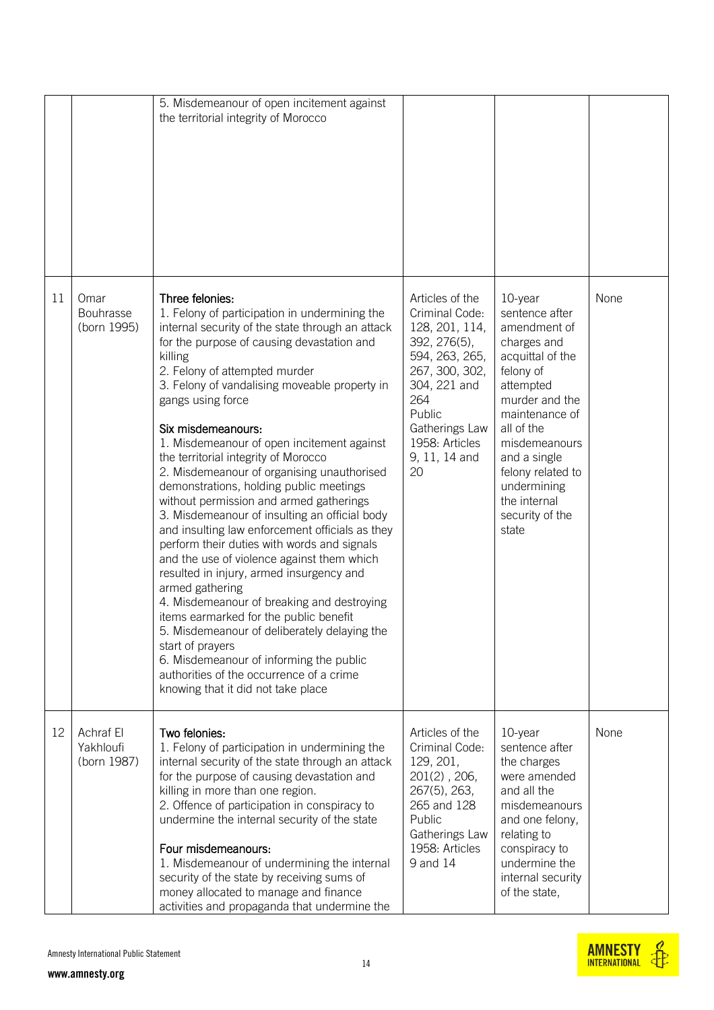|    |                                         | 5. Misdemeanour of open incitement against<br>the territorial integrity of Morocco                                                                                                                                                                                                                                                                                                                                                                                                                                                                                                                                                                                                                                                                                                                                                                                                                                                                                                                                                                                                            |                                                                                                                                                                                                     |                                                                                                                                                                                                                                                                           |      |
|----|-----------------------------------------|-----------------------------------------------------------------------------------------------------------------------------------------------------------------------------------------------------------------------------------------------------------------------------------------------------------------------------------------------------------------------------------------------------------------------------------------------------------------------------------------------------------------------------------------------------------------------------------------------------------------------------------------------------------------------------------------------------------------------------------------------------------------------------------------------------------------------------------------------------------------------------------------------------------------------------------------------------------------------------------------------------------------------------------------------------------------------------------------------|-----------------------------------------------------------------------------------------------------------------------------------------------------------------------------------------------------|---------------------------------------------------------------------------------------------------------------------------------------------------------------------------------------------------------------------------------------------------------------------------|------|
| 11 | Omar<br><b>Bouhrasse</b><br>(born 1995) | Three felonies:<br>1. Felony of participation in undermining the<br>internal security of the state through an attack<br>for the purpose of causing devastation and<br>killing<br>2. Felony of attempted murder<br>3. Felony of vandalising moveable property in<br>gangs using force<br>Six misdemeanours:<br>1. Misdemeanour of open incitement against<br>the territorial integrity of Morocco<br>2. Misdemeanour of organising unauthorised<br>demonstrations, holding public meetings<br>without permission and armed gatherings<br>3. Misdemeanour of insulting an official body<br>and insulting law enforcement officials as they<br>perform their duties with words and signals<br>and the use of violence against them which<br>resulted in injury, armed insurgency and<br>armed gathering<br>4. Misdemeanour of breaking and destroying<br>items earmarked for the public benefit<br>5. Misdemeanour of deliberately delaying the<br>start of prayers<br>6. Misdemeanour of informing the public<br>authorities of the occurrence of a crime<br>knowing that it did not take place | Articles of the<br>Criminal Code:<br>128, 201, 114,<br>392, 276(5),<br>594, 263, 265,<br>267, 300, 302,<br>304, 221 and<br>264<br>Public<br>Gatherings Law<br>1958: Articles<br>9, 11, 14 and<br>20 | 10-year<br>sentence after<br>amendment of<br>charges and<br>acquittal of the<br>felony of<br>attempted<br>murder and the<br>maintenance of<br>all of the<br>misdemeanours<br>and a single<br>felony related to<br>undermining<br>the internal<br>security of the<br>state | None |
| 12 | Achraf El<br>Yakhloufi<br>(born 1987)   | Two felonies:<br>1. Felony of participation in undermining the<br>internal security of the state through an attack<br>for the purpose of causing devastation and<br>killing in more than one region.<br>2. Offence of participation in conspiracy to<br>undermine the internal security of the state<br>Four misdemeanours:<br>1. Misdemeanour of undermining the internal<br>security of the state by receiving sums of<br>money allocated to manage and finance<br>activities and propaganda that undermine the                                                                                                                                                                                                                                                                                                                                                                                                                                                                                                                                                                             | Articles of the<br>Criminal Code:<br>129, 201,<br>$201(2)$ , $206$ ,<br>267(5), 263,<br>265 and 128<br>Public<br>Gatherings Law<br>1958: Articles<br>9 and 14                                       | 10-year<br>sentence after<br>the charges<br>were amended<br>and all the<br>misdemeanours<br>and one felony,<br>relating to<br>conspiracy to<br>undermine the<br>internal security<br>of the state,                                                                        | None |

14

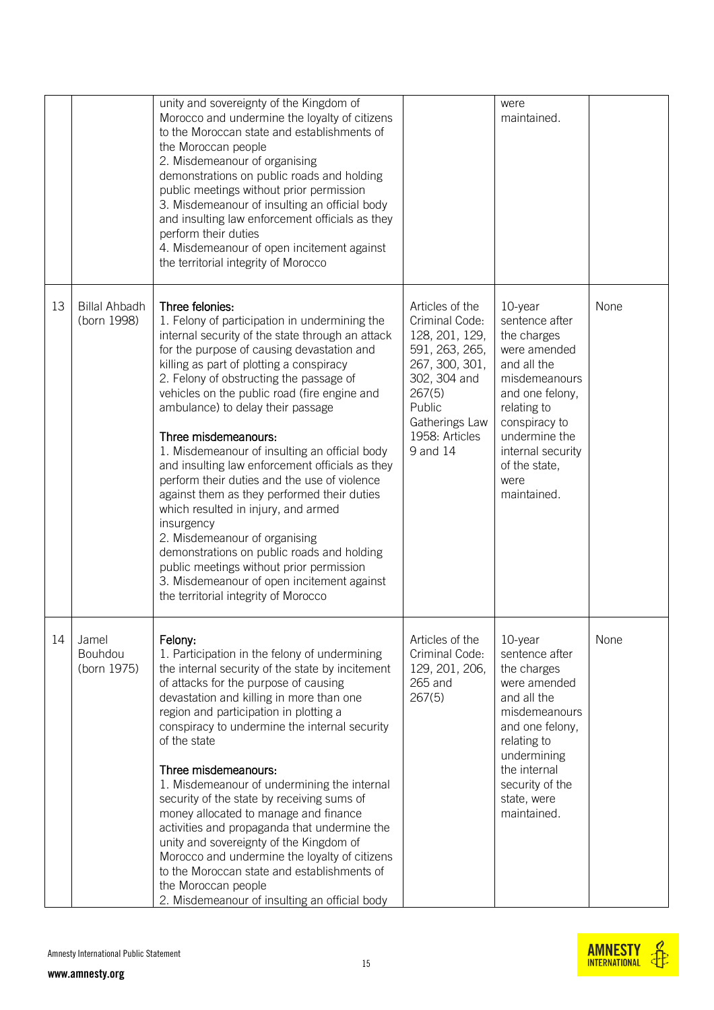|    |                                     | unity and sovereignty of the Kingdom of<br>Morocco and undermine the loyalty of citizens<br>to the Moroccan state and establishments of<br>the Moroccan people<br>2. Misdemeanour of organising<br>demonstrations on public roads and holding<br>public meetings without prior permission<br>3. Misdemeanour of insulting an official body<br>and insulting law enforcement officials as they<br>perform their duties<br>4. Misdemeanour of open incitement against<br>the territorial integrity of Morocco                                                                                                                                                                                                                                                                                                                                     |                                                                                                                                                                             | were<br>maintained.                                                                                                                                                                                                       |      |
|----|-------------------------------------|-------------------------------------------------------------------------------------------------------------------------------------------------------------------------------------------------------------------------------------------------------------------------------------------------------------------------------------------------------------------------------------------------------------------------------------------------------------------------------------------------------------------------------------------------------------------------------------------------------------------------------------------------------------------------------------------------------------------------------------------------------------------------------------------------------------------------------------------------|-----------------------------------------------------------------------------------------------------------------------------------------------------------------------------|---------------------------------------------------------------------------------------------------------------------------------------------------------------------------------------------------------------------------|------|
| 13 | <b>Billal Ahbadh</b><br>(born 1998) | Three felonies:<br>1. Felony of participation in undermining the<br>internal security of the state through an attack<br>for the purpose of causing devastation and<br>killing as part of plotting a conspiracy<br>2. Felony of obstructing the passage of<br>vehicles on the public road (fire engine and<br>ambulance) to delay their passage<br>Three misdemeanours:<br>1. Misdemeanour of insulting an official body<br>and insulting law enforcement officials as they<br>perform their duties and the use of violence<br>against them as they performed their duties<br>which resulted in injury, and armed<br>insurgency<br>2. Misdemeanour of organising<br>demonstrations on public roads and holding<br>public meetings without prior permission<br>3. Misdemeanour of open incitement against<br>the territorial integrity of Morocco | Articles of the<br>Criminal Code:<br>128, 201, 129,<br>591, 263, 265,<br>267, 300, 301,<br>302, 304 and<br>267(5)<br>Public<br>Gatherings Law<br>1958: Articles<br>9 and 14 | 10-year<br>sentence after<br>the charges<br>were amended<br>and all the<br>misdemeanours<br>and one felony,<br>relating to<br>conspiracy to<br>undermine the<br>internal security<br>of the state,<br>were<br>maintained. | None |
| 14 | Jamel<br>Bouhdou<br>(born 1975)     | Felony:<br>1. Participation in the felony of undermining<br>the internal security of the state by incitement<br>of attacks for the purpose of causing<br>devastation and killing in more than one<br>region and participation in plotting a<br>conspiracy to undermine the internal security<br>of the state<br>Three misdemeanours:<br>1. Misdemeanour of undermining the internal<br>security of the state by receiving sums of<br>money allocated to manage and finance<br>activities and propaganda that undermine the<br>unity and sovereignty of the Kingdom of<br>Morocco and undermine the loyalty of citizens<br>to the Moroccan state and establishments of<br>the Moroccan people<br>2. Misdemeanour of insulting an official body                                                                                                   | Articles of the<br>Criminal Code:<br>129, 201, 206,<br>265 and<br>267(5)                                                                                                    | 10-year<br>sentence after<br>the charges<br>were amended<br>and all the<br>misdemeanours<br>and one felony,<br>relating to<br>undermining<br>the internal<br>security of the<br>state, were<br>maintained.                | None |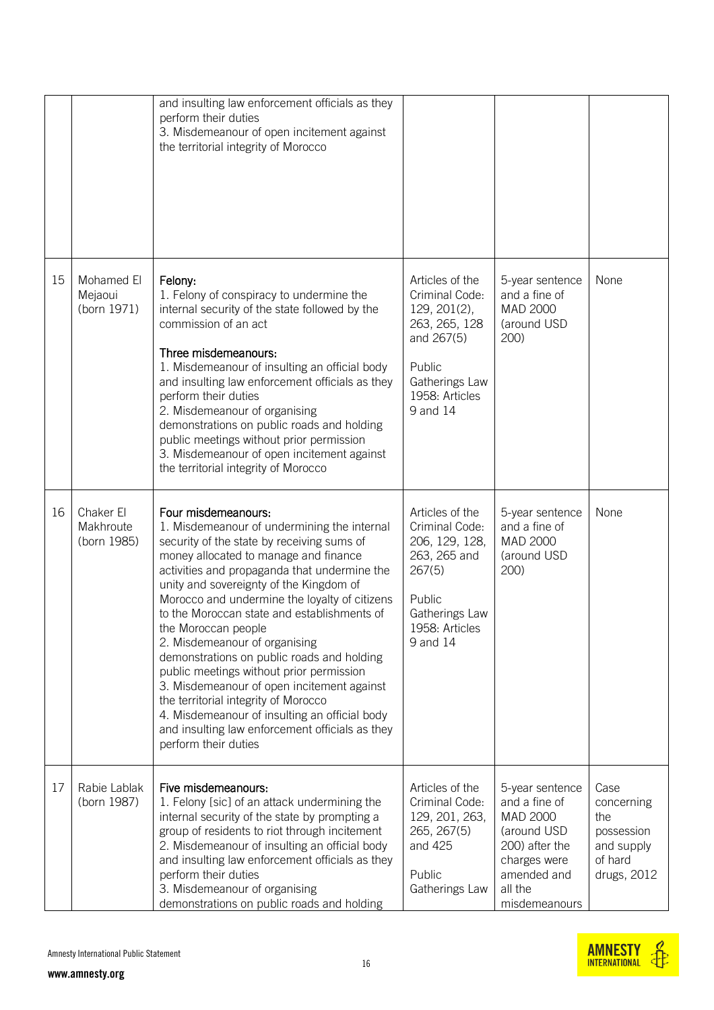|    |                                       | and insulting law enforcement officials as they<br>perform their duties<br>3. Misdemeanour of open incitement against<br>the territorial integrity of Morocco                                                                                                                                                                                                                                                                                                                                                                                                                                                                                                                                                            |                                                                                                                                            |                                                                                                                                          |                                                                                 |
|----|---------------------------------------|--------------------------------------------------------------------------------------------------------------------------------------------------------------------------------------------------------------------------------------------------------------------------------------------------------------------------------------------------------------------------------------------------------------------------------------------------------------------------------------------------------------------------------------------------------------------------------------------------------------------------------------------------------------------------------------------------------------------------|--------------------------------------------------------------------------------------------------------------------------------------------|------------------------------------------------------------------------------------------------------------------------------------------|---------------------------------------------------------------------------------|
| 15 | Mohamed El<br>Mejaoui<br>(born 1971)  | Felony:<br>1. Felony of conspiracy to undermine the<br>internal security of the state followed by the<br>commission of an act<br>Three misdemeanours:<br>1. Misdemeanour of insulting an official body<br>and insulting law enforcement officials as they<br>perform their duties<br>2. Misdemeanour of organising<br>demonstrations on public roads and holding<br>public meetings without prior permission<br>3. Misdemeanour of open incitement against<br>the territorial integrity of Morocco                                                                                                                                                                                                                       | Articles of the<br>Criminal Code:<br>129, 201(2),<br>263, 265, 128<br>and 267(5)<br>Public<br>Gatherings Law<br>1958: Articles<br>9 and 14 | 5-year sentence<br>and a fine of<br>MAD 2000<br>(around USD<br>200)                                                                      | None                                                                            |
| 16 | Chaker El<br>Makhroute<br>(born 1985) | Four misdemeanours:<br>1. Misdemeanour of undermining the internal<br>security of the state by receiving sums of<br>money allocated to manage and finance<br>activities and propaganda that undermine the<br>unity and sovereignty of the Kingdom of<br>Morocco and undermine the loyalty of citizens<br>to the Moroccan state and establishments of<br>the Moroccan people<br>2. Misdemeanour of organising<br>demonstrations on public roads and holding<br>public meetings without prior permission<br>3. Misdemeanour of open incitement against<br>the territorial integrity of Morocco<br>4. Misdemeanour of insulting an official body<br>and insulting law enforcement officials as they<br>perform their duties | Articles of the<br>Criminal Code:<br>206, 129, 128,<br>263, 265 and<br>267(5)<br>Public<br>Gatherings Law<br>1958: Articles<br>9 and 14    | 5-year sentence<br>and a fine of<br>MAD 2000<br>(around USD<br>200)                                                                      | None                                                                            |
| 17 | Rabie Lablak<br>(born 1987)           | Five misdemeanours:<br>1. Felony [sic] of an attack undermining the<br>internal security of the state by prompting a<br>group of residents to riot through incitement<br>2. Misdemeanour of insulting an official body<br>and insulting law enforcement officials as they<br>perform their duties<br>3. Misdemeanour of organising<br>demonstrations on public roads and holding                                                                                                                                                                                                                                                                                                                                         | Articles of the<br>Criminal Code:<br>129, 201, 263,<br>265, 267(5)<br>and 425<br>Public<br>Gatherings Law                                  | 5-year sentence<br>and a fine of<br>MAD 2000<br>(around USD<br>200) after the<br>charges were<br>amended and<br>all the<br>misdemeanours | Case<br>concerning<br>the<br>possession<br>and supply<br>of hard<br>drugs, 2012 |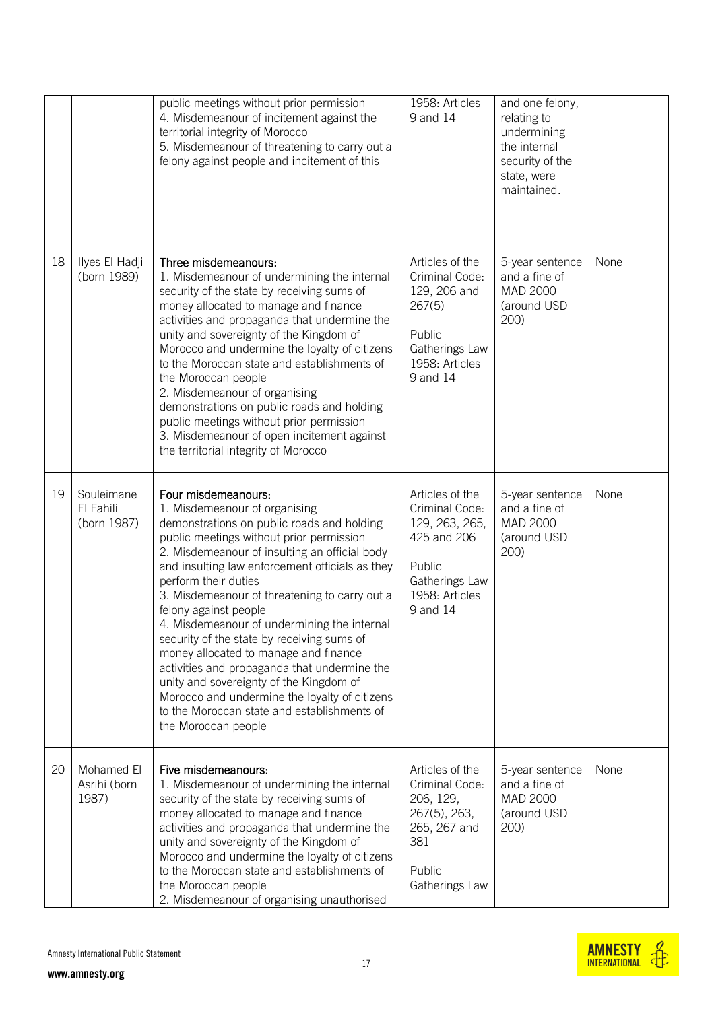|    |                                        | public meetings without prior permission<br>4. Misdemeanour of incitement against the<br>territorial integrity of Morocco<br>5. Misdemeanour of threatening to carry out a<br>felony against people and incitement of this                                                                                                                                                                                                                                                                                                                                                                                                                                                                                   | 1958: Articles<br>9 and 14                                                                                                   | and one felony,<br>relating to<br>undermining<br>the internal<br>security of the<br>state, were<br>maintained. |      |
|----|----------------------------------------|--------------------------------------------------------------------------------------------------------------------------------------------------------------------------------------------------------------------------------------------------------------------------------------------------------------------------------------------------------------------------------------------------------------------------------------------------------------------------------------------------------------------------------------------------------------------------------------------------------------------------------------------------------------------------------------------------------------|------------------------------------------------------------------------------------------------------------------------------|----------------------------------------------------------------------------------------------------------------|------|
| 18 | Ilyes El Hadji<br>(born 1989)          | Three misdemeanours:<br>1. Misdemeanour of undermining the internal<br>security of the state by receiving sums of<br>money allocated to manage and finance<br>activities and propaganda that undermine the<br>unity and sovereignty of the Kingdom of<br>Morocco and undermine the loyalty of citizens<br>to the Moroccan state and establishments of<br>the Moroccan people<br>2. Misdemeanour of organising<br>demonstrations on public roads and holding<br>public meetings without prior permission<br>3. Misdemeanour of open incitement against<br>the territorial integrity of Morocco                                                                                                                | Articles of the<br>Criminal Code:<br>129, 206 and<br>267(5)<br>Public<br>Gatherings Law<br>1958: Articles<br>9 and 14        | 5-year sentence<br>and a fine of<br>MAD 2000<br>(around USD<br>200)                                            | None |
| 19 | Souleimane<br>El Fahili<br>(born 1987) | Four misdemeanours:<br>1. Misdemeanour of organising<br>demonstrations on public roads and holding<br>public meetings without prior permission<br>2. Misdemeanour of insulting an official body<br>and insulting law enforcement officials as they<br>perform their duties<br>3. Misdemeanour of threatening to carry out a<br>felony against people<br>4. Misdemeanour of undermining the internal<br>security of the state by receiving sums of<br>money allocated to manage and finance<br>activities and propaganda that undermine the<br>unity and sovereignty of the Kingdom of<br>Morocco and undermine the loyalty of citizens<br>to the Moroccan state and establishments of<br>the Moroccan people | Articles of the<br>Criminal Code:<br>129, 263, 265,<br>425 and 206<br>Public<br>Gatherings Law<br>1958: Articles<br>9 and 14 | 5-year sentence<br>and a fine of<br>MAD 2000<br>(around USD<br>200)                                            | None |
| 20 | Mohamed El<br>Asrihi (born<br>1987)    | Five misdemeanours:<br>1. Misdemeanour of undermining the internal<br>security of the state by receiving sums of<br>money allocated to manage and finance<br>activities and propaganda that undermine the<br>unity and sovereignty of the Kingdom of<br>Morocco and undermine the loyalty of citizens<br>to the Moroccan state and establishments of<br>the Moroccan people<br>2. Misdemeanour of organising unauthorised                                                                                                                                                                                                                                                                                    | Articles of the<br>Criminal Code:<br>206, 129,<br>267(5), 263,<br>265, 267 and<br>381<br>Public<br>Gatherings Law            | 5-year sentence<br>and a fine of<br>MAD 2000<br>(around USD<br>200)                                            | None |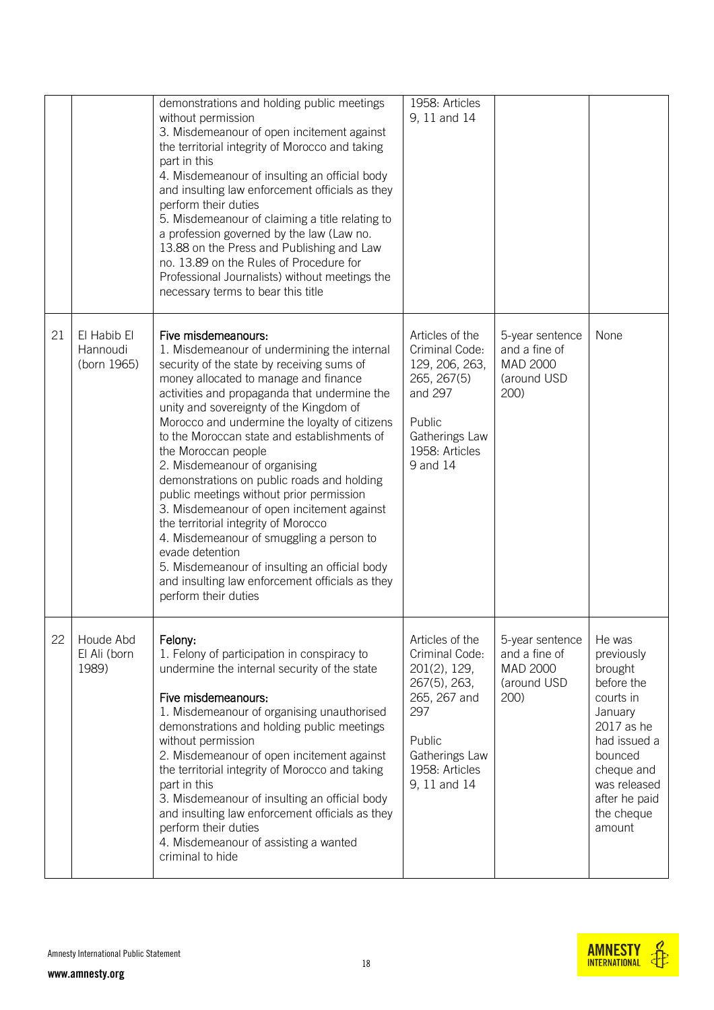|    |                                        | demonstrations and holding public meetings<br>without permission<br>3. Misdemeanour of open incitement against<br>the territorial integrity of Morocco and taking<br>part in this<br>4. Misdemeanour of insulting an official body<br>and insulting law enforcement officials as they<br>perform their duties<br>5. Misdemeanour of claiming a title relating to<br>a profession governed by the law (Law no.<br>13.88 on the Press and Publishing and Law<br>no. 13.89 on the Rules of Procedure for<br>Professional Journalists) without meetings the<br>necessary terms to bear this title                                                                                                                                                                                           | 1958: Articles<br>9, 11 and 14                                                                                                                         |                                                                     |                                                                                                                                                                                       |
|----|----------------------------------------|-----------------------------------------------------------------------------------------------------------------------------------------------------------------------------------------------------------------------------------------------------------------------------------------------------------------------------------------------------------------------------------------------------------------------------------------------------------------------------------------------------------------------------------------------------------------------------------------------------------------------------------------------------------------------------------------------------------------------------------------------------------------------------------------|--------------------------------------------------------------------------------------------------------------------------------------------------------|---------------------------------------------------------------------|---------------------------------------------------------------------------------------------------------------------------------------------------------------------------------------|
| 21 | El Habib El<br>Hannoudi<br>(born 1965) | Five misdemeanours:<br>1. Misdemeanour of undermining the internal<br>security of the state by receiving sums of<br>money allocated to manage and finance<br>activities and propaganda that undermine the<br>unity and sovereignty of the Kingdom of<br>Morocco and undermine the loyalty of citizens<br>to the Moroccan state and establishments of<br>the Moroccan people<br>2. Misdemeanour of organising<br>demonstrations on public roads and holding<br>public meetings without prior permission<br>3. Misdemeanour of open incitement against<br>the territorial integrity of Morocco<br>4. Misdemeanour of smuggling a person to<br>evade detention<br>5. Misdemeanour of insulting an official body<br>and insulting law enforcement officials as they<br>perform their duties | Articles of the<br>Criminal Code:<br>129, 206, 263,<br>265, 267(5)<br>and 297<br>Public<br>Gatherings Law<br>1958: Articles<br>9 and 14                | 5-year sentence<br>and a fine of<br>MAD 2000<br>(around USD<br>200) | None                                                                                                                                                                                  |
| 22 | Houde Abd<br>El Ali (born<br>1989)     | Felony:<br>1. Felony of participation in conspiracy to<br>undermine the internal security of the state<br>Five misdemeanours:<br>1. Misdemeanour of organising unauthorised<br>demonstrations and holding public meetings<br>without permission<br>2. Misdemeanour of open incitement against<br>the territorial integrity of Morocco and taking<br>part in this<br>3. Misdemeanour of insulting an official body<br>and insulting law enforcement officials as they<br>perform their duties<br>4. Misdemeanour of assisting a wanted<br>criminal to hide                                                                                                                                                                                                                               | Articles of the<br>Criminal Code:<br>201(2), 129,<br>267(5), 263,<br>265, 267 and<br>297<br>Public<br>Gatherings Law<br>1958: Articles<br>9, 11 and 14 | 5-year sentence<br>and a fine of<br>MAD 2000<br>(around USD<br>200) | He was<br>previously<br>brought<br>before the<br>courts in<br>January<br>2017 as he<br>had issued a<br>bounced<br>cheque and<br>was released<br>after he paid<br>the cheque<br>amount |

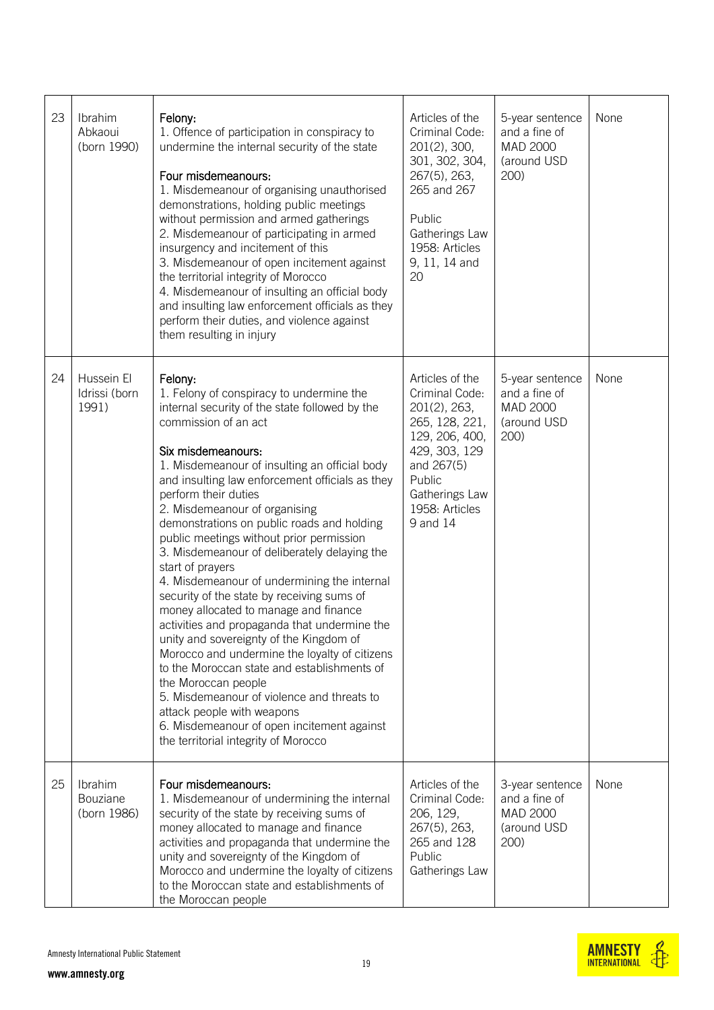| 23 | Ibrahim<br>Abkaoui<br>(born 1990)    | Felony:<br>1. Offence of participation in conspiracy to<br>undermine the internal security of the state<br>Four misdemeanours:<br>1. Misdemeanour of organising unauthorised<br>demonstrations, holding public meetings<br>without permission and armed gatherings<br>2. Misdemeanour of participating in armed<br>insurgency and incitement of this<br>3. Misdemeanour of open incitement against<br>the territorial integrity of Morocco<br>4. Misdemeanour of insulting an official body<br>and insulting law enforcement officials as they<br>perform their duties, and violence against<br>them resulting in injury                                                                                                                                                                                                                                                                                                                                                                                 | Articles of the<br>Criminal Code:<br>201(2), 300,<br>301, 302, 304,<br>267(5), 263,<br>265 and 267<br>Public<br>Gatherings Law<br>1958: Articles<br>9, 11, 14 and<br>20        | 5-year sentence<br>and a fine of<br>MAD 2000<br>(around USD<br>200)        | None |
|----|--------------------------------------|----------------------------------------------------------------------------------------------------------------------------------------------------------------------------------------------------------------------------------------------------------------------------------------------------------------------------------------------------------------------------------------------------------------------------------------------------------------------------------------------------------------------------------------------------------------------------------------------------------------------------------------------------------------------------------------------------------------------------------------------------------------------------------------------------------------------------------------------------------------------------------------------------------------------------------------------------------------------------------------------------------|--------------------------------------------------------------------------------------------------------------------------------------------------------------------------------|----------------------------------------------------------------------------|------|
| 24 | Hussein El<br>Idrissi (born<br>1991) | Felony:<br>1. Felony of conspiracy to undermine the<br>internal security of the state followed by the<br>commission of an act<br>Six misdemeanours:<br>1. Misdemeanour of insulting an official body<br>and insulting law enforcement officials as they<br>perform their duties<br>2. Misdemeanour of organising<br>demonstrations on public roads and holding<br>public meetings without prior permission<br>3. Misdemeanour of deliberately delaying the<br>start of prayers<br>4. Misdemeanour of undermining the internal<br>security of the state by receiving sums of<br>money allocated to manage and finance<br>activities and propaganda that undermine the<br>unity and sovereignty of the Kingdom of<br>Morocco and undermine the loyalty of citizens<br>to the Moroccan state and establishments of<br>the Moroccan people<br>5. Misdemeanour of violence and threats to<br>attack people with weapons<br>6. Misdemeanour of open incitement against<br>the territorial integrity of Morocco | Articles of the<br>Criminal Code:<br>201(2), 263,<br>265, 128, 221,<br>129, 206, 400,<br>429, 303, 129<br>and 267(5)<br>Public<br>Gatherings Law<br>1958: Articles<br>9 and 14 | 5-year sentence<br>and a fine of<br>MAD 2000<br>(around USD<br>200)        | None |
| 25 | Ibrahim<br>Bouziane<br>(born 1986)   | Four misdemeanours:<br>1. Misdemeanour of undermining the internal<br>security of the state by receiving sums of<br>money allocated to manage and finance<br>activities and propaganda that undermine the<br>unity and sovereignty of the Kingdom of<br>Morocco and undermine the loyalty of citizens<br>to the Moroccan state and establishments of<br>the Moroccan people                                                                                                                                                                                                                                                                                                                                                                                                                                                                                                                                                                                                                              | Articles of the<br>Criminal Code:<br>206, 129,<br>267(5), 263,<br>265 and 128<br>Public<br>Gatherings Law                                                                      | 3-year sentence<br>and a fine of<br><b>MAD 2000</b><br>(around USD<br>200) | None |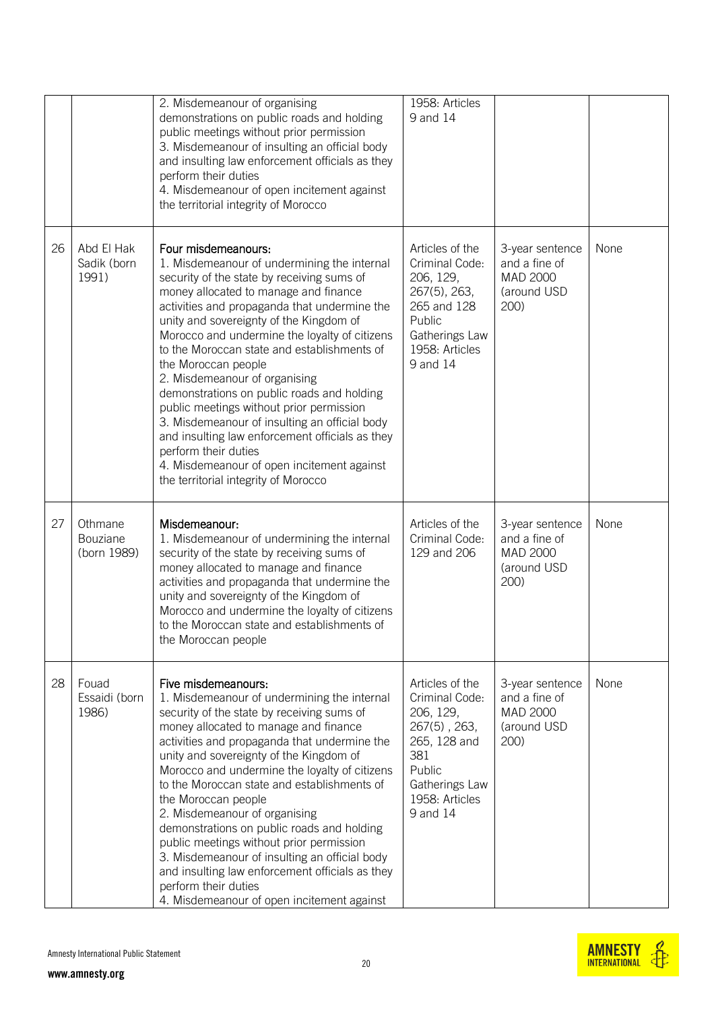|    |                                    | 2. Misdemeanour of organising<br>demonstrations on public roads and holding<br>public meetings without prior permission<br>3. Misdemeanour of insulting an official body<br>and insulting law enforcement officials as they<br>perform their duties<br>4. Misdemeanour of open incitement against<br>the territorial integrity of Morocco                                                                                                                                                                                                                                                                                                                                                                                | 1958: Articles<br>9 and 14                                                                                                                            |                                                                     |      |
|----|------------------------------------|--------------------------------------------------------------------------------------------------------------------------------------------------------------------------------------------------------------------------------------------------------------------------------------------------------------------------------------------------------------------------------------------------------------------------------------------------------------------------------------------------------------------------------------------------------------------------------------------------------------------------------------------------------------------------------------------------------------------------|-------------------------------------------------------------------------------------------------------------------------------------------------------|---------------------------------------------------------------------|------|
| 26 | Abd El Hak<br>Sadik (born<br>1991) | Four misdemeanours:<br>1. Misdemeanour of undermining the internal<br>security of the state by receiving sums of<br>money allocated to manage and finance<br>activities and propaganda that undermine the<br>unity and sovereignty of the Kingdom of<br>Morocco and undermine the loyalty of citizens<br>to the Moroccan state and establishments of<br>the Moroccan people<br>2. Misdemeanour of organising<br>demonstrations on public roads and holding<br>public meetings without prior permission<br>3. Misdemeanour of insulting an official body<br>and insulting law enforcement officials as they<br>perform their duties<br>4. Misdemeanour of open incitement against<br>the territorial integrity of Morocco | Articles of the<br>Criminal Code:<br>206, 129,<br>267(5), 263,<br>265 and 128<br>Public<br>Gatherings Law<br>1958: Articles<br>9 and 14               | 3-year sentence<br>and a fine of<br>MAD 2000<br>(around USD<br>200) | None |
| 27 | Othmane<br>Bouziane<br>(born 1989) | Misdemeanour:<br>1. Misdemeanour of undermining the internal<br>security of the state by receiving sums of<br>money allocated to manage and finance<br>activities and propaganda that undermine the<br>unity and sovereignty of the Kingdom of<br>Morocco and undermine the loyalty of citizens<br>to the Moroccan state and establishments of<br>the Moroccan people                                                                                                                                                                                                                                                                                                                                                    | Articles of the<br>Criminal Code:<br>129 and 206                                                                                                      | 3-year sentence<br>and a fine of<br>MAD 2000<br>(around USD<br>200) | None |
| 28 | Fouad<br>Essaidi (born<br>1986)    | Five misdemeanours:<br>1. Misdemeanour of undermining the internal<br>security of the state by receiving sums of<br>money allocated to manage and finance<br>activities and propaganda that undermine the<br>unity and sovereignty of the Kingdom of<br>Morocco and undermine the loyalty of citizens<br>to the Moroccan state and establishments of<br>the Moroccan people<br>2. Misdemeanour of organising<br>demonstrations on public roads and holding<br>public meetings without prior permission<br>3. Misdemeanour of insulting an official body<br>and insulting law enforcement officials as they<br>perform their duties<br>4. Misdemeanour of open incitement against                                         | Articles of the<br>Criminal Code:<br>206, 129,<br>$267(5)$ , $263$ ,<br>265, 128 and<br>381<br>Public<br>Gatherings Law<br>1958: Articles<br>9 and 14 | 3-year sentence<br>and a fine of<br>MAD 2000<br>(around USD<br>200) | None |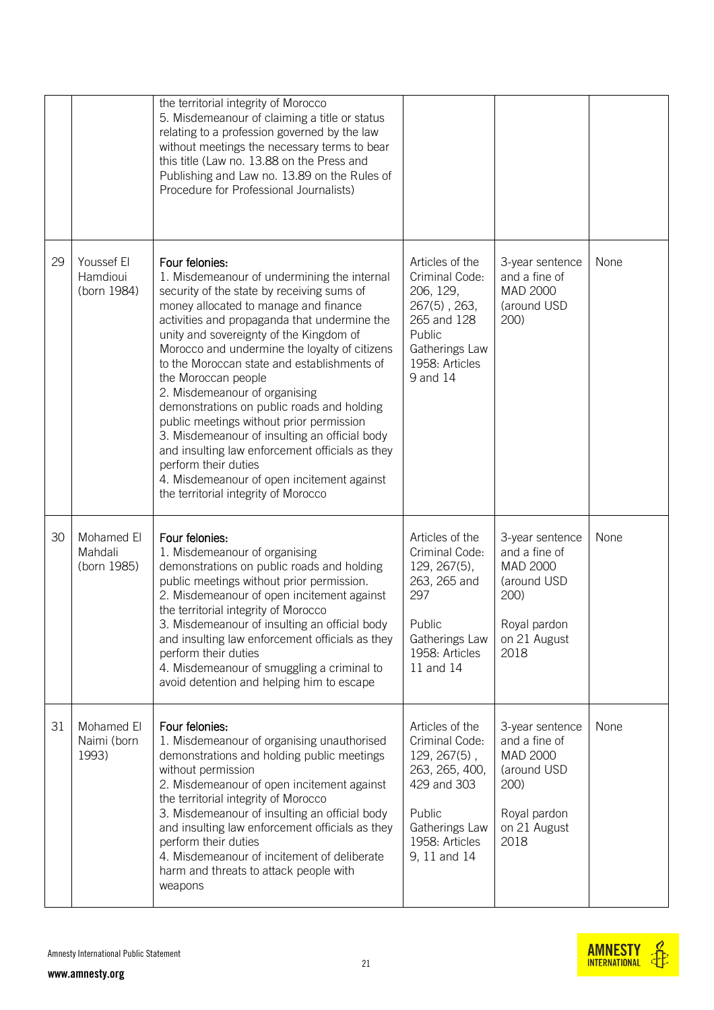|    |                                       | the territorial integrity of Morocco<br>5. Misdemeanour of claiming a title or status<br>relating to a profession governed by the law<br>without meetings the necessary terms to bear<br>this title (Law no. 13.88 on the Press and<br>Publishing and Law no. 13.89 on the Rules of<br>Procedure for Professional Journalists)                                                                                                                                                                                                                                                                                                                                                                                      |                                                                                                                                                     |                                                                                                             |      |
|----|---------------------------------------|---------------------------------------------------------------------------------------------------------------------------------------------------------------------------------------------------------------------------------------------------------------------------------------------------------------------------------------------------------------------------------------------------------------------------------------------------------------------------------------------------------------------------------------------------------------------------------------------------------------------------------------------------------------------------------------------------------------------|-----------------------------------------------------------------------------------------------------------------------------------------------------|-------------------------------------------------------------------------------------------------------------|------|
| 29 | Youssef El<br>Hamdioui<br>(born 1984) | Four felonies:<br>1. Misdemeanour of undermining the internal<br>security of the state by receiving sums of<br>money allocated to manage and finance<br>activities and propaganda that undermine the<br>unity and sovereignty of the Kingdom of<br>Morocco and undermine the loyalty of citizens<br>to the Moroccan state and establishments of<br>the Moroccan people<br>2. Misdemeanour of organising<br>demonstrations on public roads and holding<br>public meetings without prior permission<br>3. Misdemeanour of insulting an official body<br>and insulting law enforcement officials as they<br>perform their duties<br>4. Misdemeanour of open incitement against<br>the territorial integrity of Morocco | Articles of the<br>Criminal Code:<br>206, 129,<br>267(5), 263,<br>265 and 128<br>Public<br>Gatherings Law<br>1958: Articles<br>9 and 14             | 3-year sentence<br>and a fine of<br>MAD 2000<br>(around USD<br>200)                                         | None |
| 30 | Mohamed El<br>Mahdali<br>(born 1985)  | Four felonies:<br>1. Misdemeanour of organising<br>demonstrations on public roads and holding<br>public meetings without prior permission.<br>2. Misdemeanour of open incitement against<br>the territorial integrity of Morocco<br>3. Misdemeanour of insulting an official body<br>and insulting law enforcement officials as they<br>perform their duties<br>4. Misdemeanour of smuggling a criminal to<br>avoid detention and helping him to escape                                                                                                                                                                                                                                                             | Articles of the<br>Criminal Code:<br>129, 267(5),<br>263, 265 and<br>297<br>Public<br>Gatherings Law<br>1958: Articles<br>11 and 14                 | 3-year sentence<br>and a fine of<br>MAD 2000<br>(around USD<br>200)<br>Royal pardon<br>on 21 August<br>2018 | None |
| 31 | Mohamed El<br>Naimi (born<br>1993)    | Four felonies:<br>1. Misdemeanour of organising unauthorised<br>demonstrations and holding public meetings<br>without permission<br>2. Misdemeanour of open incitement against<br>the territorial integrity of Morocco<br>3. Misdemeanour of insulting an official body<br>and insulting law enforcement officials as they<br>perform their duties<br>4. Misdemeanour of incitement of deliberate<br>harm and threats to attack people with<br>weapons                                                                                                                                                                                                                                                              | Articles of the<br>Criminal Code:<br>$129, 267(5)$ ,<br>263, 265, 400,<br>429 and 303<br>Public<br>Gatherings Law<br>1958: Articles<br>9, 11 and 14 | 3-year sentence<br>and a fine of<br>MAD 2000<br>(around USD<br>200)<br>Royal pardon<br>on 21 August<br>2018 | None |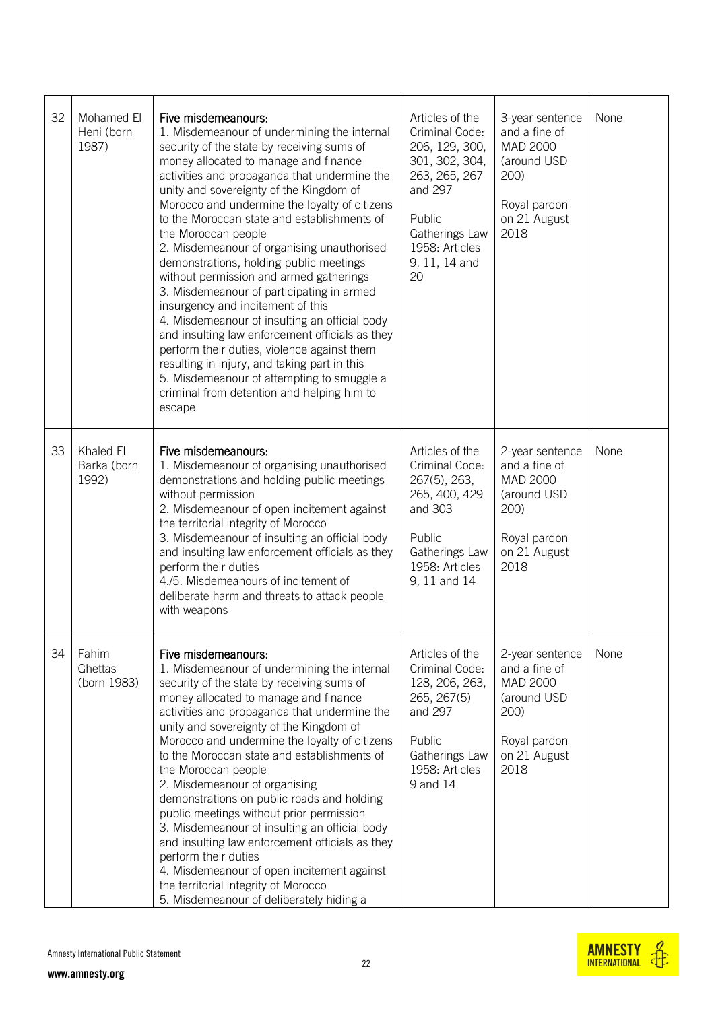| 32 | Mohamed El<br>Heni (born<br>1987) | Five misdemeanours:<br>1. Misdemeanour of undermining the internal<br>security of the state by receiving sums of<br>money allocated to manage and finance<br>activities and propaganda that undermine the<br>unity and sovereignty of the Kingdom of<br>Morocco and undermine the loyalty of citizens<br>to the Moroccan state and establishments of<br>the Moroccan people<br>2. Misdemeanour of organising unauthorised<br>demonstrations, holding public meetings<br>without permission and armed gatherings<br>3. Misdemeanour of participating in armed<br>insurgency and incitement of this<br>4. Misdemeanour of insulting an official body<br>and insulting law enforcement officials as they<br>perform their duties, violence against them<br>resulting in injury, and taking part in this<br>5. Misdemeanour of attempting to smuggle a<br>criminal from detention and helping him to<br>escape | Articles of the<br>Criminal Code:<br>206, 129, 300,<br>301, 302, 304,<br>263, 265, 267<br>and 297<br>Public<br>Gatherings Law<br>1958: Articles<br>9, 11, 14 and<br>20 | 3-year sentence<br>and a fine of<br>MAD 2000<br>(around USD<br>200)<br>Royal pardon<br>on 21 August<br>2018 | None |
|----|-----------------------------------|------------------------------------------------------------------------------------------------------------------------------------------------------------------------------------------------------------------------------------------------------------------------------------------------------------------------------------------------------------------------------------------------------------------------------------------------------------------------------------------------------------------------------------------------------------------------------------------------------------------------------------------------------------------------------------------------------------------------------------------------------------------------------------------------------------------------------------------------------------------------------------------------------------|------------------------------------------------------------------------------------------------------------------------------------------------------------------------|-------------------------------------------------------------------------------------------------------------|------|
| 33 | Khaled El<br>Barka (born<br>1992) | Five misdemeanours:<br>1. Misdemeanour of organising unauthorised<br>demonstrations and holding public meetings<br>without permission<br>2. Misdemeanour of open incitement against<br>the territorial integrity of Morocco<br>3. Misdemeanour of insulting an official body<br>and insulting law enforcement officials as they<br>perform their duties<br>4./5. Misdemeanours of incitement of<br>deliberate harm and threats to attack people<br>with weapons                                                                                                                                                                                                                                                                                                                                                                                                                                            | Articles of the<br>Criminal Code:<br>267(5), 263,<br>265, 400, 429<br>and 303<br>Public<br>Gatherings Law<br>1958: Articles<br>9, 11 and 14                            | 2-year sentence<br>and a fine of<br>MAD 2000<br>(around USD<br>200)<br>Royal pardon<br>on 21 August<br>2018 | None |
| 34 | Fahim<br>Ghettas<br>(born 1983)   | Five misdemeanours:<br>1. Misdemeanour of undermining the internal<br>security of the state by receiving sums of<br>money allocated to manage and finance<br>activities and propaganda that undermine the<br>unity and sovereignty of the Kingdom of<br>Morocco and undermine the loyalty of citizens<br>to the Moroccan state and establishments of<br>the Moroccan people<br>2. Misdemeanour of organising<br>demonstrations on public roads and holding<br>public meetings without prior permission<br>3. Misdemeanour of insulting an official body<br>and insulting law enforcement officials as they<br>perform their duties<br>4. Misdemeanour of open incitement against<br>the territorial integrity of Morocco<br>5. Misdemeanour of deliberately hiding a                                                                                                                                       | Articles of the<br>Criminal Code:<br>128, 206, 263,<br>265, 267(5)<br>and 297<br>Public<br>Gatherings Law<br>1958: Articles<br>9 and 14                                | 2-year sentence<br>and a fine of<br>MAD 2000<br>(around USD<br>200)<br>Royal pardon<br>on 21 August<br>2018 | None |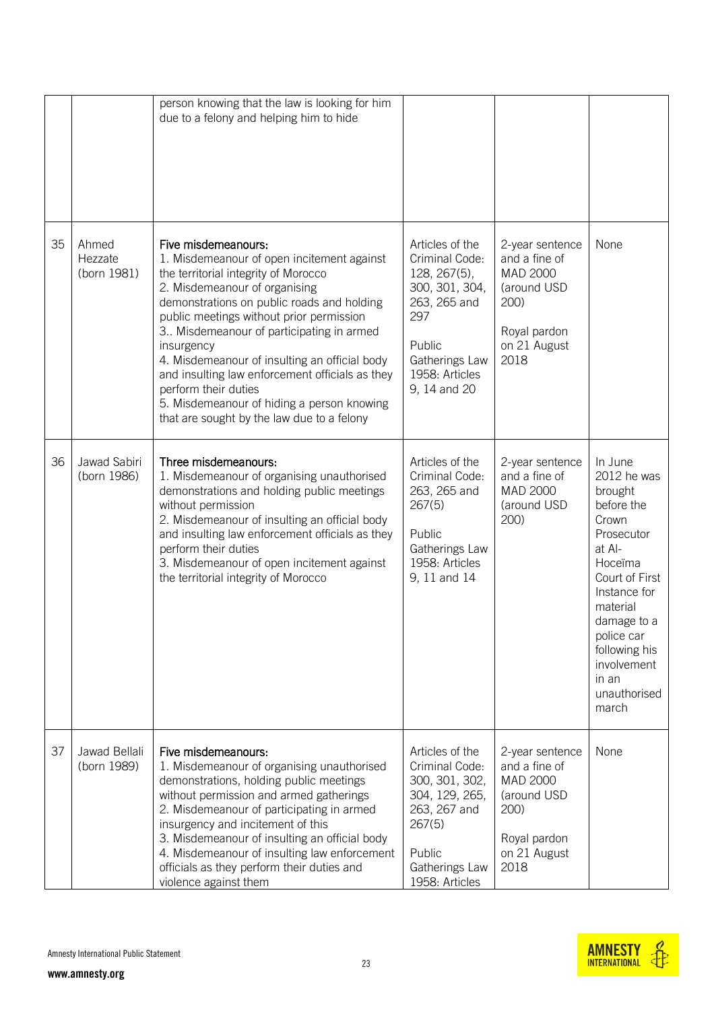|    |                                 | person knowing that the law is looking for him<br>due to a felony and helping him to hide                                                                                                                                                                                                                                                                                                                                                                                                                              |                                                                                                                                                          |                                                                                                             |                                                                                                                                                                                                                                          |
|----|---------------------------------|------------------------------------------------------------------------------------------------------------------------------------------------------------------------------------------------------------------------------------------------------------------------------------------------------------------------------------------------------------------------------------------------------------------------------------------------------------------------------------------------------------------------|----------------------------------------------------------------------------------------------------------------------------------------------------------|-------------------------------------------------------------------------------------------------------------|------------------------------------------------------------------------------------------------------------------------------------------------------------------------------------------------------------------------------------------|
| 35 | Ahmed<br>Hezzate<br>(born 1981) | Five misdemeanours:<br>1. Misdemeanour of open incitement against<br>the territorial integrity of Morocco<br>2. Misdemeanour of organising<br>demonstrations on public roads and holding<br>public meetings without prior permission<br>3 Misdemeanour of participating in armed<br>insurgency<br>4. Misdemeanour of insulting an official body<br>and insulting law enforcement officials as they<br>perform their duties<br>5. Misdemeanour of hiding a person knowing<br>that are sought by the law due to a felony | Articles of the<br>Criminal Code:<br>128, 267(5),<br>300, 301, 304,<br>263, 265 and<br>297<br>Public<br>Gatherings Law<br>1958: Articles<br>9, 14 and 20 | 2-year sentence<br>and a fine of<br>MAD 2000<br>(around USD<br>200)<br>Royal pardon<br>on 21 August<br>2018 | None                                                                                                                                                                                                                                     |
| 36 | Jawad Sabiri<br>(born 1986)     | Three misdemeanours:<br>1. Misdemeanour of organising unauthorised<br>demonstrations and holding public meetings<br>without permission<br>2. Misdemeanour of insulting an official body<br>and insulting law enforcement officials as they<br>perform their duties<br>3. Misdemeanour of open incitement against<br>the territorial integrity of Morocco                                                                                                                                                               | Articles of the<br>Criminal Code:<br>263, 265 and<br>267(5)<br>Public<br>Gatherings Law<br>1958: Articles<br>9, 11 and 14                                | 2-year sentence<br>and a fine of<br>MAD 2000<br>(around USD<br>200)                                         | In June<br>2012 he was<br>brought<br>before the<br>Crown<br>Prosecutor<br>at Al-<br>Hoceïma<br>Court of First<br>Instance for<br>material<br>damage to a<br>police car<br>following his<br>involvement<br>in an<br>unauthorised<br>march |
| 37 | Jawad Bellali<br>(born 1989)    | Five misdemeanours:<br>1. Misdemeanour of organising unauthorised<br>demonstrations, holding public meetings<br>without permission and armed gatherings<br>2. Misdemeanour of participating in armed<br>insurgency and incitement of this<br>3. Misdemeanour of insulting an official body<br>4. Misdemeanour of insulting law enforcement<br>officials as they perform their duties and<br>violence against them                                                                                                      | Articles of the<br>Criminal Code:<br>300, 301, 302,<br>304, 129, 265,<br>263, 267 and<br>267(5)<br>Public<br>Gatherings Law<br>1958: Articles            | 2-year sentence<br>and a fine of<br>MAD 2000<br>(around USD<br>200)<br>Royal pardon<br>on 21 August<br>2018 | None                                                                                                                                                                                                                                     |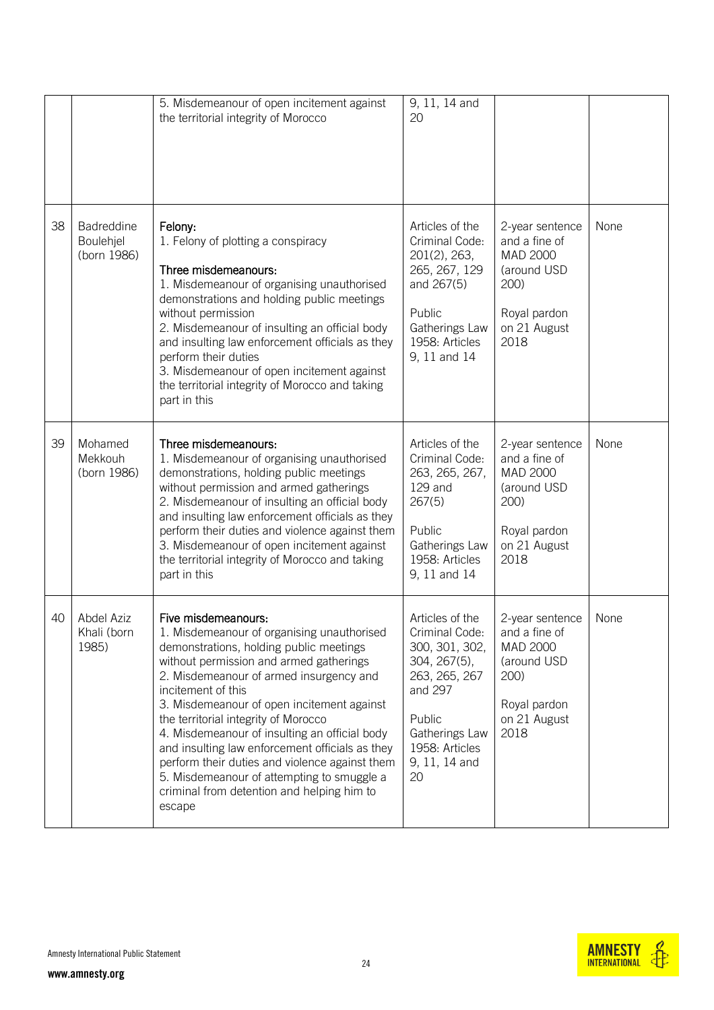|    |                                        | 5. Misdemeanour of open incitement against<br>the territorial integrity of Morocco                                                                                                                                                                                                                                                                                                                                                                                                                                                                                         | 9, 11, 14 and<br>20                                                                                                                                                  |                                                                                                             |      |
|----|----------------------------------------|----------------------------------------------------------------------------------------------------------------------------------------------------------------------------------------------------------------------------------------------------------------------------------------------------------------------------------------------------------------------------------------------------------------------------------------------------------------------------------------------------------------------------------------------------------------------------|----------------------------------------------------------------------------------------------------------------------------------------------------------------------|-------------------------------------------------------------------------------------------------------------|------|
| 38 | Badreddine<br>Boulehjel<br>(born 1986) | Felony:<br>1. Felony of plotting a conspiracy<br>Three misdemeanours:<br>1. Misdemeanour of organising unauthorised<br>demonstrations and holding public meetings<br>without permission<br>2. Misdemeanour of insulting an official body<br>and insulting law enforcement officials as they<br>perform their duties<br>3. Misdemeanour of open incitement against<br>the territorial integrity of Morocco and taking<br>part in this                                                                                                                                       | Articles of the<br>Criminal Code:<br>201(2), 263,<br>265, 267, 129<br>and 267(5)<br>Public<br>Gatherings Law<br>1958: Articles<br>9, 11 and 14                       | 2-year sentence<br>and a fine of<br>MAD 2000<br>(around USD<br>200)<br>Royal pardon<br>on 21 August<br>2018 | None |
| 39 | Mohamed<br>Mekkouh<br>(born 1986)      | Three misdemeanours:<br>1. Misdemeanour of organising unauthorised<br>demonstrations, holding public meetings<br>without permission and armed gatherings<br>2. Misdemeanour of insulting an official body<br>and insulting law enforcement officials as they<br>perform their duties and violence against them<br>3. Misdemeanour of open incitement against<br>the territorial integrity of Morocco and taking<br>part in this                                                                                                                                            | Articles of the<br>Criminal Code:<br>263, 265, 267,<br>129 and<br>267(5)<br>Public<br>Gatherings Law<br>1958: Articles<br>9, 11 and 14                               | 2-year sentence<br>and a fine of<br>MAD 2000<br>(around USD<br>200)<br>Royal pardon<br>on 21 August<br>2018 | None |
| 40 | Abdel Aziz<br>Khali (born<br>1985)     | Five misdemeanours:<br>1. Misdemeanour of organising unauthorised<br>demonstrations, holding public meetings<br>without permission and armed gatherings<br>2. Misdemeanour of armed insurgency and<br>incitement of this<br>3. Misdemeanour of open incitement against<br>the territorial integrity of Morocco<br>4. Misdemeanour of insulting an official body<br>and insulting law enforcement officials as they<br>perform their duties and violence against them<br>5. Misdemeanour of attempting to smuggle a<br>criminal from detention and helping him to<br>escape | Articles of the<br>Criminal Code:<br>300, 301, 302,<br>304, 267(5),<br>263, 265, 267<br>and 297<br>Public<br>Gatherings Law<br>1958: Articles<br>9, 11, 14 and<br>20 | 2-year sentence<br>and a fine of<br>MAD 2000<br>(around USD<br>200)<br>Royal pardon<br>on 21 August<br>2018 | None |

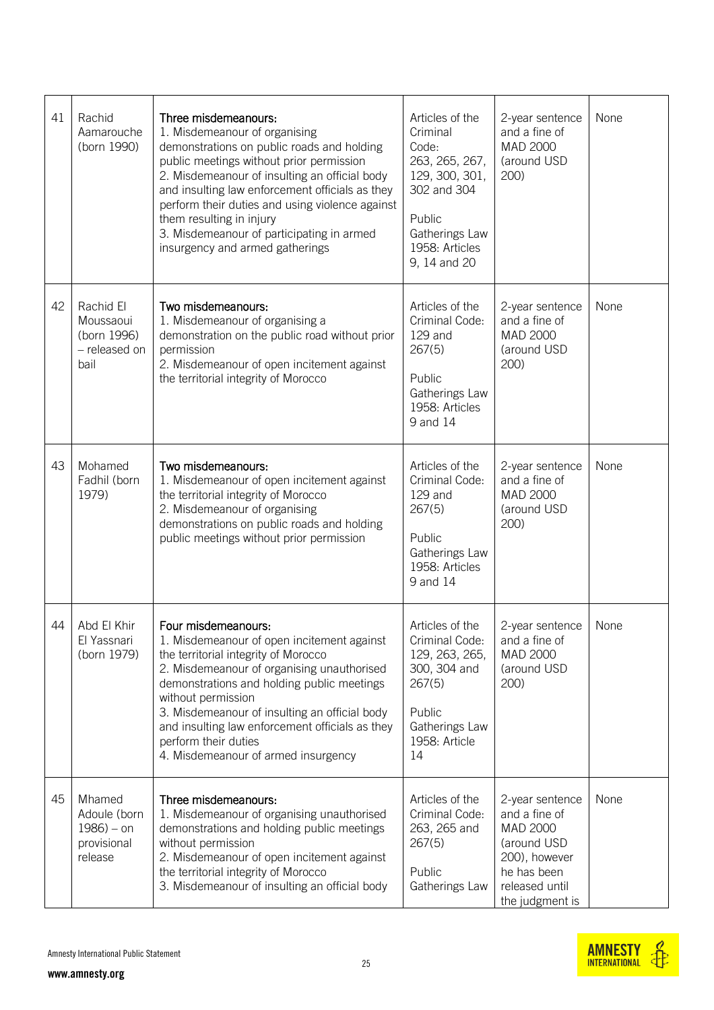| 41 | Rachid<br>Aamarouche<br>(born 1990)                               | Three misdemeanours:<br>1. Misdemeanour of organising<br>demonstrations on public roads and holding<br>public meetings without prior permission<br>2. Misdemeanour of insulting an official body<br>and insulting law enforcement officials as they<br>perform their duties and using violence against<br>them resulting in injury<br>3. Misdemeanour of participating in armed<br>insurgency and armed gatherings | Articles of the<br>Criminal<br>Code:<br>263, 265, 267,<br>129, 300, 301,<br>302 and 304<br>Public<br>Gatherings Law<br>1958: Articles<br>9, 14 and 20 | 2-year sentence<br>and a fine of<br>MAD 2000<br>(around USD<br>200)                                                              | None |
|----|-------------------------------------------------------------------|--------------------------------------------------------------------------------------------------------------------------------------------------------------------------------------------------------------------------------------------------------------------------------------------------------------------------------------------------------------------------------------------------------------------|-------------------------------------------------------------------------------------------------------------------------------------------------------|----------------------------------------------------------------------------------------------------------------------------------|------|
| 42 | Rachid El<br>Moussaoui<br>(born 1996)<br>- released on<br>bail    | Two misdemeanours:<br>1. Misdemeanour of organising a<br>demonstration on the public road without prior<br>permission<br>2. Misdemeanour of open incitement against<br>the territorial integrity of Morocco                                                                                                                                                                                                        | Articles of the<br>Criminal Code:<br>$129$ and<br>267(5)<br>Public<br>Gatherings Law<br>1958: Articles<br>9 and 14                                    | 2-year sentence<br>and a fine of<br><b>MAD 2000</b><br>(around USD<br>200)                                                       | None |
| 43 | Mohamed<br>Fadhil (born<br>1979)                                  | Two misdemeanours:<br>1. Misdemeanour of open incitement against<br>the territorial integrity of Morocco<br>2. Misdemeanour of organising<br>demonstrations on public roads and holding<br>public meetings without prior permission                                                                                                                                                                                | Articles of the<br>Criminal Code:<br>129 and<br>267(5)<br>Public<br>Gatherings Law<br>1958: Articles<br>9 and 14                                      | 2-year sentence<br>and a fine of<br>MAD 2000<br>(around USD<br>200)                                                              | None |
| 44 | Abd El Khir<br>El Yassnari<br>(born 1979)                         | Four misdemeanours:<br>1. Misdemeanour of open incitement against<br>the territorial integrity of Morocco<br>2. Misdemeanour of organising unauthorised<br>demonstrations and holding public meetings<br>without permission<br>3. Misdemeanour of insulting an official body<br>and insulting law enforcement officials as they<br>perform their duties<br>4. Misdemeanour of armed insurgency                     | Articles of the<br>Criminal Code:<br>129, 263, 265,<br>300, 304 and<br>267(5)<br>Public<br>Gatherings Law<br>1958: Article<br>14                      | 2-year sentence<br>and a fine of<br>MAD 2000<br>(around USD<br>200)                                                              | None |
| 45 | Mhamed<br>Adoule (born<br>$1986$ ) – on<br>provisional<br>release | Three misdemeanours:<br>1. Misdemeanour of organising unauthorised<br>demonstrations and holding public meetings<br>without permission<br>2. Misdemeanour of open incitement against<br>the territorial integrity of Morocco<br>3. Misdemeanour of insulting an official body                                                                                                                                      | Articles of the<br>Criminal Code:<br>263, 265 and<br>267(5)<br>Public<br>Gatherings Law                                                               | 2-year sentence<br>and a fine of<br>MAD 2000<br>(around USD<br>200), however<br>he has been<br>released until<br>the judgment is | None |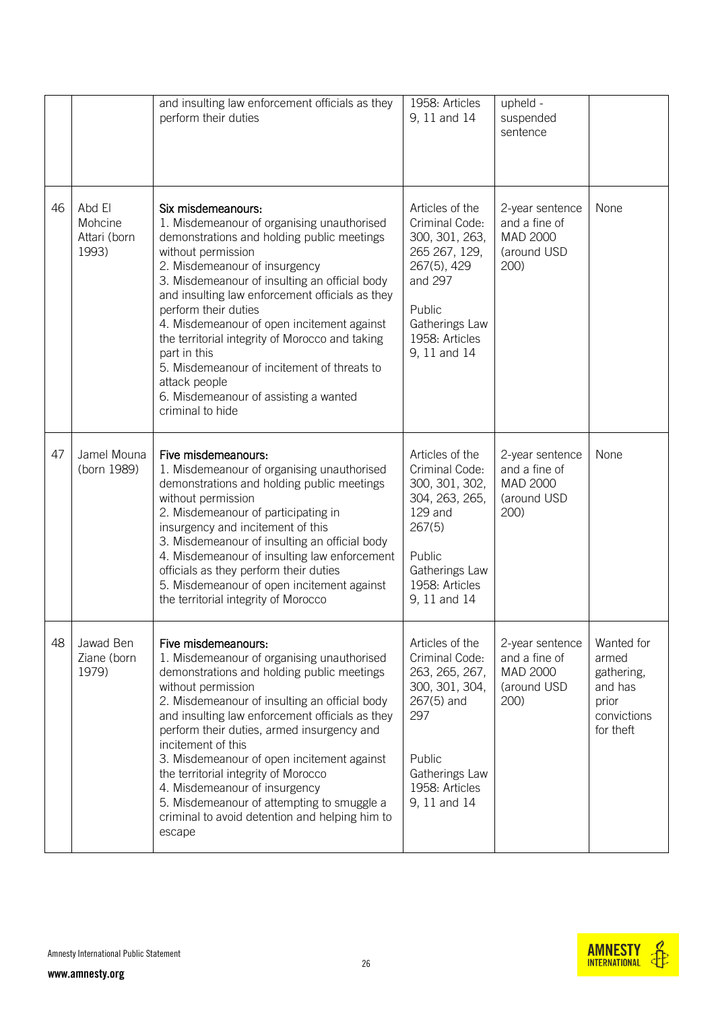|    |                                            | and insulting law enforcement officials as they<br>perform their duties                                                                                                                                                                                                                                                                                                                                                                                                                                                                         | 1958: Articles<br>9, 11 and 14                                                                                                                               | upheld -<br>suspended<br>sentence                                   |                                                                                   |
|----|--------------------------------------------|-------------------------------------------------------------------------------------------------------------------------------------------------------------------------------------------------------------------------------------------------------------------------------------------------------------------------------------------------------------------------------------------------------------------------------------------------------------------------------------------------------------------------------------------------|--------------------------------------------------------------------------------------------------------------------------------------------------------------|---------------------------------------------------------------------|-----------------------------------------------------------------------------------|
| 46 | Abd El<br>Mohcine<br>Attari (born<br>1993) | Six misdemeanours:<br>1. Misdemeanour of organising unauthorised<br>demonstrations and holding public meetings<br>without permission<br>2. Misdemeanour of insurgency<br>3. Misdemeanour of insulting an official body<br>and insulting law enforcement officials as they<br>perform their duties<br>4. Misdemeanour of open incitement against<br>the territorial integrity of Morocco and taking<br>part in this<br>5. Misdemeanour of incitement of threats to<br>attack people<br>6. Misdemeanour of assisting a wanted<br>criminal to hide | Articles of the<br>Criminal Code:<br>300, 301, 263,<br>265 267, 129,<br>267(5), 429<br>and 297<br>Public<br>Gatherings Law<br>1958: Articles<br>9, 11 and 14 | 2-year sentence<br>and a fine of<br>MAD 2000<br>(around USD<br>200) | None                                                                              |
| 47 | Jamel Mouna<br>(born 1989)                 | Five misdemeanours:<br>1. Misdemeanour of organising unauthorised<br>demonstrations and holding public meetings<br>without permission<br>2. Misdemeanour of participating in<br>insurgency and incitement of this<br>3. Misdemeanour of insulting an official body<br>4. Misdemeanour of insulting law enforcement<br>officials as they perform their duties<br>5. Misdemeanour of open incitement against<br>the territorial integrity of Morocco                                                                                              | Articles of the<br>Criminal Code:<br>300, 301, 302,<br>304, 263, 265,<br>129 and<br>267(5)<br>Public<br>Gatherings Law<br>1958: Articles<br>9, 11 and 14     | 2-year sentence<br>and a fine of<br>MAD 2000<br>(around USD<br>200) | None                                                                              |
| 48 | Jawad Ben<br>Ziane (born<br>1979)          | Five misdemeanours:<br>1. Misdemeanour of organising unauthorised<br>demonstrations and holding public meetings<br>without permission<br>2. Misdemeanour of insulting an official body<br>and insulting law enforcement officials as they<br>perform their duties, armed insurgency and<br>incitement of this<br>3. Misdemeanour of open incitement against<br>the territorial integrity of Morocco<br>4. Misdemeanour of insurgency<br>5. Misdemeanour of attempting to smuggle a<br>criminal to avoid detention and helping him to<br>escape  | Articles of the<br>Criminal Code:<br>263, 265, 267,<br>300, 301, 304,<br>$267(5)$ and<br>297<br>Public<br>Gatherings Law<br>1958: Articles<br>9, 11 and 14   | 2-year sentence<br>and a fine of<br>MAD 2000<br>(around USD<br>200) | Wanted for<br>armed<br>gathering,<br>and has<br>prior<br>convictions<br>for theft |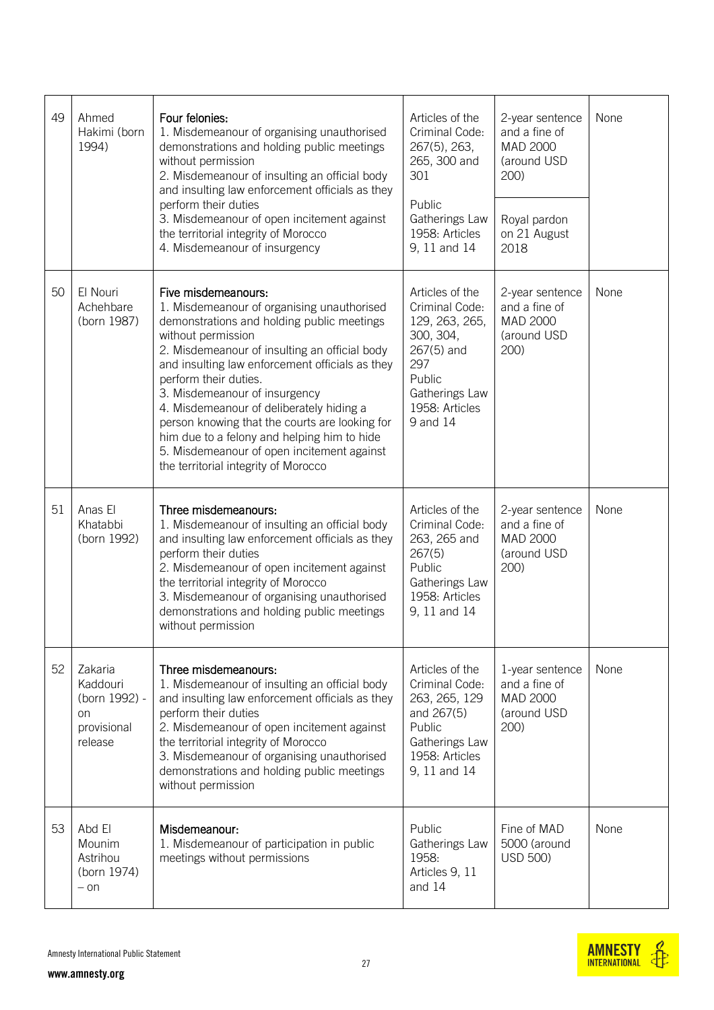| 49 | Ahmed<br>Hakimi (born<br>1994)                                       | Four felonies:<br>1. Misdemeanour of organising unauthorised<br>demonstrations and holding public meetings<br>without permission<br>2. Misdemeanour of insulting an official body<br>and insulting law enforcement officials as they<br>perform their duties<br>3. Misdemeanour of open incitement against<br>the territorial integrity of Morocco<br>4. Misdemeanour of insurgency                                                                                                                                                    | Articles of the<br>Criminal Code:<br>267(5), 263,<br>265, 300 and<br>301<br>Public<br>Gatherings Law<br>1958: Articles<br>9, 11 and 14            | 2-year sentence<br>and a fine of<br>MAD 2000<br>(around USD<br>200)<br>Royal pardon<br>on 21 August<br>2018 | None |
|----|----------------------------------------------------------------------|----------------------------------------------------------------------------------------------------------------------------------------------------------------------------------------------------------------------------------------------------------------------------------------------------------------------------------------------------------------------------------------------------------------------------------------------------------------------------------------------------------------------------------------|---------------------------------------------------------------------------------------------------------------------------------------------------|-------------------------------------------------------------------------------------------------------------|------|
| 50 | El Nouri<br>Achehbare<br>(born 1987)                                 | Five misdemeanours:<br>1. Misdemeanour of organising unauthorised<br>demonstrations and holding public meetings<br>without permission<br>2. Misdemeanour of insulting an official body<br>and insulting law enforcement officials as they<br>perform their duties.<br>3. Misdemeanour of insurgency<br>4. Misdemeanour of deliberately hiding a<br>person knowing that the courts are looking for<br>him due to a felony and helping him to hide<br>5. Misdemeanour of open incitement against<br>the territorial integrity of Morocco | Articles of the<br>Criminal Code:<br>129, 263, 265,<br>300, 304,<br>$267(5)$ and<br>297<br>Public<br>Gatherings Law<br>1958: Articles<br>9 and 14 | 2-year sentence<br>and a fine of<br>MAD 2000<br>(around USD<br>200)                                         | None |
| 51 | Anas El<br>Khatabbi<br>(born 1992)                                   | Three misdemeanours:<br>1. Misdemeanour of insulting an official body<br>and insulting law enforcement officials as they<br>perform their duties<br>2. Misdemeanour of open incitement against<br>the territorial integrity of Morocco<br>3. Misdemeanour of organising unauthorised<br>demonstrations and holding public meetings<br>without permission                                                                                                                                                                               | Articles of the<br>Criminal Code:<br>263, 265 and<br>267(5)<br>Public<br>Gatherings Law<br>1958: Articles<br>9, 11 and 14                         | 2-year sentence<br>and a fine of<br>MAD 2000<br>(around USD<br>200)                                         | None |
| 52 | Zakaria<br>Kaddouri<br>(born 1992) -<br>on<br>provisional<br>release | Three misdemeanours:<br>1. Misdemeanour of insulting an official body<br>and insulting law enforcement officials as they<br>perform their duties<br>2. Misdemeanour of open incitement against<br>the territorial integrity of Morocco<br>3. Misdemeanour of organising unauthorised<br>demonstrations and holding public meetings<br>without permission                                                                                                                                                                               | Articles of the<br>Criminal Code:<br>263, 265, 129<br>and 267(5)<br>Public<br>Gatherings Law<br>1958: Articles<br>9, 11 and 14                    | 1-year sentence<br>and a fine of<br>MAD 2000<br>(around USD<br>200)                                         | None |
| 53 | Abd El<br>Mounim<br>Astrihou<br>(born 1974)<br>$-$ on                | Misdemeanour:<br>1. Misdemeanour of participation in public<br>meetings without permissions                                                                                                                                                                                                                                                                                                                                                                                                                                            | Public<br>Gatherings Law<br>1958:<br>Articles 9, 11<br>and 14                                                                                     | Fine of MAD<br>5000 (around<br><b>USD 500)</b>                                                              | None |